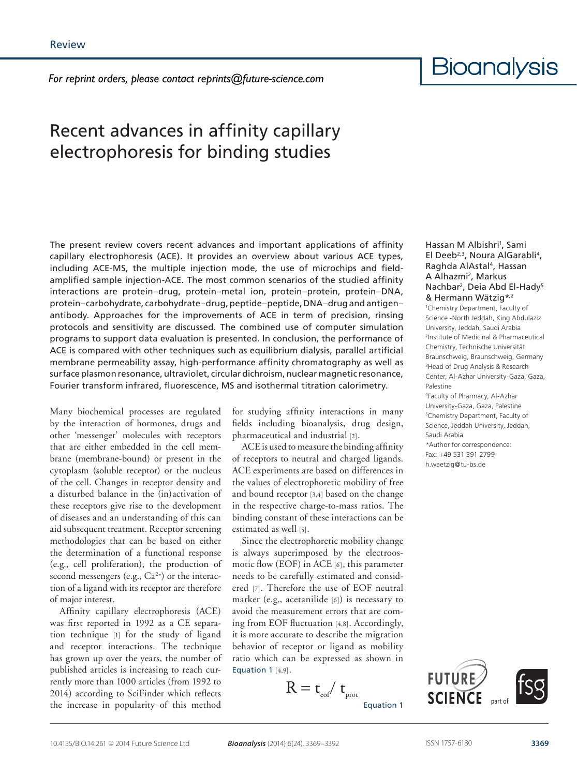*For reprint orders, please contact reprints@future-science.com*

# **Bioanalysis**

## Recent advances in affinity capillary electrophoresis for binding studies

The present review covers recent advances and important applications of affinity capillary electrophoresis (ACE). It provides an overview about various ACE types, including ACE-MS, the multiple injection mode, the use of microchips and fieldamplified sample injection-ACE. The most common scenarios of the studied affinity interactions are protein–drug, protein–metal ion, protein–protein, protein–DNA, protein–carbohydrate, carbohydrate–drug, peptide–peptide, DNA–drug and antigen– antibody. Approaches for the improvements of ACE in term of precision, rinsing protocols and sensitivity are discussed. The combined use of computer simulation programs to support data evaluation is presented. In conclusion, the performance of ACE is compared with other techniques such as equilibrium dialysis, parallel artificial membrane permeability assay, high-performance affinity chromatography as well as surface plasmon resonance, ultraviolet, circular dichroism, nuclear magnetic resonance, Fourier transform infrared, fluorescence, MS and isothermal titration calorimetry.

Many biochemical processes are regulated by the interaction of hormones, drugs and other 'messenger' molecules with receptors that are either embedded in the cell membrane (membrane-bound) or present in the cytoplasm (soluble receptor) or the nucleus of the cell. Changes in receptor density and a disturbed balance in the (in)activation of these receptors give rise to the development of diseases and an understanding of this can aid subsequent treatment. Receptor screening methodologies that can be based on either the determination of a functional response (e.g., cell proliferation), the production of second messengers (e.g.,  $Ca^{2+}$ ) or the interaction of a ligand with its receptor are therefore of major interest.

Affinity capillary electrophoresis (ACE) was first reported in 1992 as a CE separation technique [1] for the study of ligand and receptor interactions. The technique has grown up over the years, the number of published articles is increasing to reach currently more than 1000 articles (from 1992 to 2014) according to SciFinder which reflects the increase in popularity of this method

for studying affinity interactions in many fields including bioanalysis, drug design, pharmaceutical and industrial [2].

ACE is used to measure the binding affinity of receptors to neutral and charged ligands. ACE experiments are based on differences in the values of electrophoretic mobility of free and bound receptor [3,4] based on the change in the respective charge-to-mass ratios. The binding constant of these interactions can be estimated as well [5].

Since the electrophoretic mobility change is always superimposed by the electroosmotic flow (EOF) in ACE [6], this parameter needs to be carefully estimated and considered [7]. Therefore the use of EOF neutral marker (e.g., acetanilide [6]) is necessary to avoid the measurement errors that are coming from EOF fluctuation [4,8]. Accordingly, it is more accurate to describe the migration behavior of receptor or ligand as mobility ratio which can be expressed as shown in Equation 1 [4,9].

 $R = t_{\text{eof}} / t_{\text{prot}}$ 

Equation 1

## Hassan M Albishri<sup>1</sup>, Sami El Deeb<sup>2,3</sup>, Noura AlGarabli<sup>4</sup>, Raghda AlAstal<sup>4</sup>, Hassan A Alhazmi<sup>2</sup>, Markus Nachbar<sup>2</sup>, Deia Abd El-Hady<sup>5</sup> & Hermann Wätzig\* ,2

<sup>1</sup>Chemistry Department, Faculty of Science -North Jeddah, King Abdulaziz University, Jeddah, Saudi Arabia 2 Institute of Medicinal & Pharmaceutical Chemistry, Technische Universität Braunschweig, Braunschweig, Germany <sup>3</sup>Head of Drug Analysis & Research Center, Al-Azhar University-Gaza, Gaza, Palestine

<sup>4</sup>Faculty of Pharmacy, Al-Azhar University-Gaza, Gaza, Palestine <sup>5</sup>Chemistry Department, Faculty of Science, Jeddah University, Jeddah, Saudi Arabia

\*Author for correspondence: Fax: +49 531 391 2799 h.waetzig@tu-bs.de

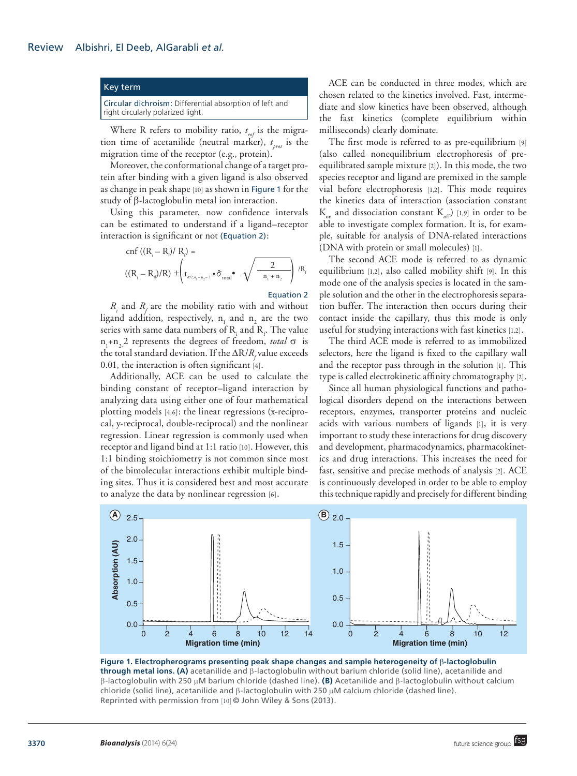## Key term

Circular dichroism: Differential absorption of left and right circularly polarized light.

Where R refers to mobility ratio, *t eof* is the migration time of acetanilide (neutral marker), *t prot* is the migration time of the receptor (e.g., protein).

Moreover, the conformational change of a target protein after binding with a given ligand is also observed as change in peak shape [10] as shown in Figure 1 for the study of β-lactoglobulin metal ion interaction.

Using this parameter, now confidence intervals can be estimated to understand if a ligand–receptor interaction is significant or not (Equation 2):

$$
cnf ((Ri - Ri)/ Ri) =
$$
  

$$
((Ri - Ri)/R) \pm (ta2,ni+n2-2 \cdot \hat{\sigma}_{total} \cdot \sqrt{\frac{2}{n_{1}+n_{2}}})^{/R_{i}}
$$

Equation 2

 $R_i$  and  $R_f$  are the mobility ratio with and without ligand addition, respectively,  $n_1$  and  $n_2$  are the two series with same data numbers of  $R_i$  and  $R_f$ . The value n<sub>1</sub>+n<sub>2</sub><sup>2</sup> represents the degrees of freedom, *total* σ is the total standard deviation. If the ΔR/*R<sub>f</sub>* value exceeds 0.01, the interaction is often significant [4].

Additionally, ACE can be used to calculate the binding constant of receptor–ligand interaction by analyzing data using either one of four mathematical plotting models [4,6]: the linear regressions (x-reciprocal, y-reciprocal, double-reciprocal) and the nonlinear regression. Linear regression is commonly used when receptor and ligand bind at 1:1 ratio [10]. However, this 1:1 binding stoichiometry is not common since most of the bimolecular interactions exhibit multiple binding sites. Thus it is considered best and most accurate to analyze the data by nonlinear regression [6].

ACE can be conducted in three modes, which are chosen related to the kinetics involved. Fast, intermediate and slow kinetics have been observed, although the fast kinetics (complete equilibrium within milliseconds) clearly dominate.

The first mode is referred to as pre-equilibrium [9] (also called nonequilibrium electrophoresis of preequilibrated sample mixture [2]). In this mode, the two species receptor and ligand are premixed in the sample vial before electrophoresis [1,2]. This mode requires the kinetics data of interaction (association constant  $K_{on}$  and dissociation constant  $K_{off}$ ) [1,9] in order to be able to investigate complex formation. It is, for example, suitable for analysis of DNA-related interactions (DNA with protein or small molecules) [1].

The second ACE mode is referred to as dynamic equilibrium [1,2], also called mobility shift [9]. In this mode one of the analysis species is located in the sample solution and the other in the electrophoresis separation buffer. The interaction then occurs during their contact inside the capillary, thus this mode is only useful for studying interactions with fast kinetics [1,2].

The third ACE mode is referred to as immobilized selectors, here the ligand is fixed to the capillary wall and the receptor pass through in the solution [1]. This type is called electrokinetic affinity chromatography [2].

Since all human physiological functions and pathological disorders depend on the interactions between receptors, enzymes, transporter proteins and nucleic acids with various numbers of ligands [1], it is very important to study these interactions for drug discovery and development, pharmacodynamics, pharmacokinetics and drug interactions. This increases the need for fast, sensitive and precise methods of analysis [2]. ACE is continuously developed in order to be able to employ this technique rapidly and precisely for different binding



**Figure 1. Electropherograms presenting peak shape changes and sample heterogeneity of** β**-lactoglobulin through metal ions. (A)** acetanilide and β-lactoglobulin without barium chloride (solid line), acetanilide and β-lactoglobulin with 250 μM barium chloride (dashed line). **(B)** Acetanilide and β-lactoglobulin without calcium chloride (solid line), acetanilide and β-lactoglobulin with 250 μM calcium chloride (dashed line). Reprinted with permission from [10] © John Wiley & Sons (2013).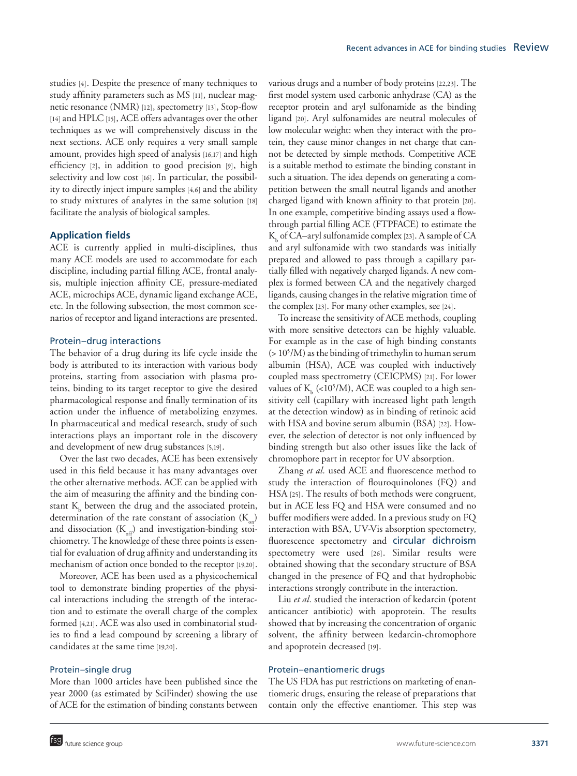studies [4]. Despite the presence of many techniques to study affinity parameters such as MS [11], nuclear magnetic resonance (NMR) [12], spectometry [13], Stop-flow [14] and HPLC [15], ACE offers advantages over the other techniques as we will comprehensively discuss in the next sections. ACE only requires a very small sample amount, provides high speed of analysis [16,17] and high efficiency [2], in addition to good precision [9], high selectivity and low cost [16]. In particular, the possibility to directly inject impure samples [4,6] and the ability to study mixtures of analytes in the same solution [18] facilitate the analysis of biological samples.

## **Application fields**

ACE is currently applied in multi-disciplines, thus many ACE models are used to accommodate for each discipline, including partial filling ACE, frontal analysis, multiple injection affinity CE, pressure-mediated ACE, microchips ACE, dynamic ligand exchange ACE, etc. In the following subsection, the most common scenarios of receptor and ligand interactions are presented.

#### Protein–drug interactions

The behavior of a drug during its life cycle inside the body is attributed to its interaction with various body proteins, starting from association with plasma proteins, binding to its target receptor to give the desired pharmacological response and finally termination of its action under the influence of metabolizing enzymes. In pharmaceutical and medical research, study of such interactions plays an important role in the discovery and development of new drug substances [5,19].

Over the last two decades, ACE has been extensively used in this field because it has many advantages over the other alternative methods. ACE can be applied with the aim of measuring the affinity and the binding constant  $K_{b}$  between the drug and the associated protein, determination of the rate constant of association  $(K_{on})$ and dissociation  $(K_{\alpha\beta})$  and investigation-binding stoichiometry. The knowledge of these three points is essential for evaluation of drug affinity and understanding its mechanism of action once bonded to the receptor [19,20].

Moreover, ACE has been used as a physicochemical tool to demonstrate binding properties of the physical interactions including the strength of the interaction and to estimate the overall charge of the complex formed [4,21]. ACE was also used in combinatorial studies to find a lead compound by screening a library of candidates at the same time [19,20].

## Protein–single drug

More than 1000 articles have been published since the year 2000 (as estimated by SciFinder) showing the use of ACE for the estimation of binding constants between various drugs and a number of body proteins [22,23]. The first model system used carbonic anhydrase (CA) as the receptor protein and aryl sulfonamide as the binding ligand [20]. Aryl sulfonamides are neutral molecules of low molecular weight: when they interact with the protein, they cause minor changes in net charge that cannot be detected by simple methods. Competitive ACE is a suitable method to estimate the binding constant in such a situation. The idea depends on generating a competition between the small neutral ligands and another charged ligand with known affinity to that protein [20]. In one example, competitive binding assays used a flowthrough partial filling ACE (FTPFACE) to estimate the  $\mathrm{K}_\mathrm{b}$  of CA–aryl sulfonamide complex [23]. A sample of CA and aryl sulfonamide with two standards was initially prepared and allowed to pass through a capillary partially filled with negatively charged ligands. A new complex is formed between CA and the negatively charged ligands, causing changes in the relative migration time of the complex [23]. For many other examples, see [24].

To increase the sensitivity of ACE methods, coupling with more sensitive detectors can be highly valuable. For example as in the case of high binding constants  $(> 10<sup>5</sup>/M)$  as the binding of trimethylin to human serum albumin (HSA), ACE was coupled with inductively coupled mass spectrometry (CEICPMS) [21]. For lower values of  $\mathrm{K}_{_{\mathrm{b}}}$  (<10<sup>5</sup>/M), ACE was coupled to a high sensitivity cell (capillary with increased light path length at the detection window) as in binding of retinoic acid with HSA and bovine serum albumin (BSA) [22]. However, the selection of detector is not only influenced by binding strength but also other issues like the lack of chromophore part in receptor for UV absorption.

Zhang *et al.* used ACE and fluorescence method to study the interaction of flouroquinolones (FQ) and HSA [25]. The results of both methods were congruent, but in ACE less FQ and HSA were consumed and no buffer modifiers were added. In a previous study on FQ interaction with BSA, UV-Vis absorption spectometry, fluorescence spectometry and circular dichroism spectometry were used [26]. Similar results were obtained showing that the secondary structure of BSA changed in the presence of FQ and that hydrophobic interactions strongly contribute in the interaction.

Liu *et al.* studied the interaction of kedarcin (potent anticancer antibiotic) with apoprotein. The results showed that by increasing the concentration of organic solvent, the affinity between kedarcin-chromophore and apoprotein decreased [19].

## Protein–enantiomeric drugs

The US FDA has put restrictions on marketing of enantiomeric drugs, ensuring the release of preparations that contain only the effective enantiomer. This step was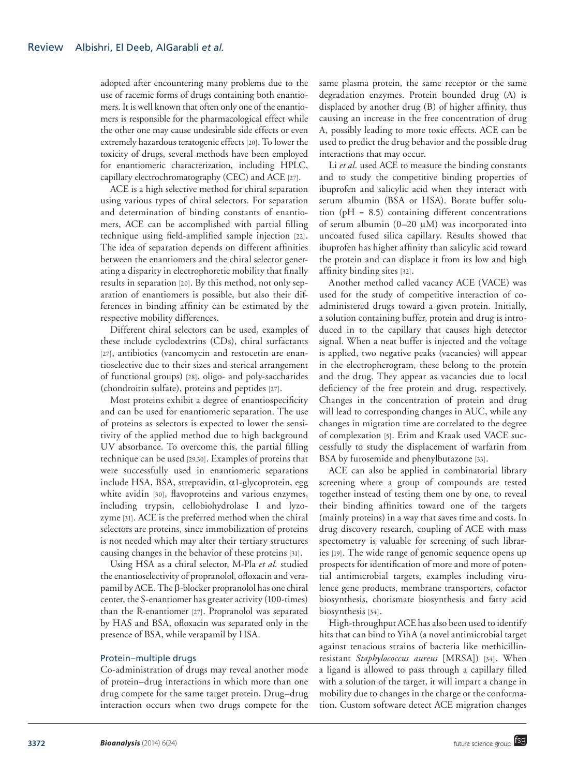adopted after encountering many problems due to the use of racemic forms of drugs containing both enantiomers. It is well known that often only one of the enantiomers is responsible for the pharmacological effect while the other one may cause undesirable side effects or even extremely hazardous teratogenic effects [20]. To lower the toxicity of drugs, several methods have been employed for enantiomeric characterization, including HPLC, capillary electrochromatography (CEC) and ACE [27].

ACE is a high selective method for chiral separation using various types of chiral selectors. For separation and determination of binding constants of enantiomers, ACE can be accomplished with partial filling technique using field-amplified sample injection [22]. The idea of separation depends on different affinities between the enantiomers and the chiral selector generating a disparity in electrophoretic mobility that finally results in separation [20]. By this method, not only separation of enantiomers is possible, but also their differences in binding affinity can be estimated by the respective mobility differences.

Different chiral selectors can be used, examples of these include cyclodextrins (CDs), chiral surfactants [27], antibiotics (vancomycin and restocetin are enantioselective due to their sizes and sterical arrangement of functional groups) [28], oligo- and poly-saccharides (chondroitin sulfate), proteins and peptides [27].

Most proteins exhibit a degree of enantiospecificity and can be used for enantiomeric separation. The use of proteins as selectors is expected to lower the sensitivity of the applied method due to high background UV absorbance. To overcome this, the partial filling technique can be used [29,30]. Examples of proteins that were successfully used in enantiomeric separations include HSA, BSA, streptavidin, α1-glycoprotein, egg white avidin [30], flavoproteins and various enzymes, including trypsin, cellobiohydrolase I and lyzozyme [31]. ACE is the preferred method when the chiral selectors are proteins, since immobilization of proteins is not needed which may alter their tertiary structures causing changes in the behavior of these proteins [31].

Using HSA as a chiral selector, M-Pla *et al.* studied the enantioselectivity of propranolol, ofloxacin and verapamil by ACE. The β-blocker propranolol has one chiral center, the S-enantiomer has greater activity (100-times) than the R-enantiomer [27]. Propranolol was separated by HAS and BSA, ofloxacin was separated only in the presence of BSA, while verapamil by HSA.

## Protein–multiple drugs

Co-administration of drugs may reveal another mode of protein–drug interactions in which more than one drug compete for the same target protein. Drug–drug interaction occurs when two drugs compete for the

same plasma protein, the same receptor or the same degradation enzymes. Protein bounded drug (A) is displaced by another drug (B) of higher affinity, thus causing an increase in the free concentration of drug A, possibly leading to more toxic effects. ACE can be used to predict the drug behavior and the possible drug interactions that may occur.

Li *et al.* used ACE to measure the binding constants and to study the competitive binding properties of ibuprofen and salicylic acid when they interact with serum albumin (BSA or HSA). Borate buffer solution ( $pH = 8.5$ ) containing different concentrations of serum albumin  $(0-20 \mu M)$  was incorporated into uncoated fused silica capillary. Results showed that ibuprofen has higher affinity than salicylic acid toward the protein and can displace it from its low and high affinity binding sites [32].

Another method called vacancy ACE (VACE) was used for the study of competitive interaction of coadministered drugs toward a given protein. Initially, a solution containing buffer, protein and drug is introduced in to the capillary that causes high detector signal. When a neat buffer is injected and the voltage is applied, two negative peaks (vacancies) will appear in the electropherogram, these belong to the protein and the drug. They appear as vacancies due to local deficiency of the free protein and drug, respectively. Changes in the concentration of protein and drug will lead to corresponding changes in AUC, while any changes in migration time are correlated to the degree of complexation [5]. Erim and Kraak used VACE successfully to study the displacement of warfarin from BSA by furosemide and phenylbutazone [33].

ACE can also be applied in combinatorial library screening where a group of compounds are tested together instead of testing them one by one, to reveal their binding affinities toward one of the targets (mainly proteins) in a way that saves time and costs. In drug discovery research, coupling of ACE with mass spectometry is valuable for screening of such libraries [19]. The wide range of genomic sequence opens up prospects for identification of more and more of potential antimicrobial targets, examples including virulence gene products, membrane transporters, cofactor biosynthesis, chorismate biosynthesis and fatty acid biosynthesis [34].

High-throughput ACE has also been used to identify hits that can bind to YihA (a novel antimicrobial target against tenacious strains of bacteria like methicillinresistant *Staphylococcus aureus* [MRSA]) [34]. When a ligand is allowed to pass through a capillary filled with a solution of the target, it will impart a change in mobility due to changes in the charge or the conformation. Custom software detect ACE migration changes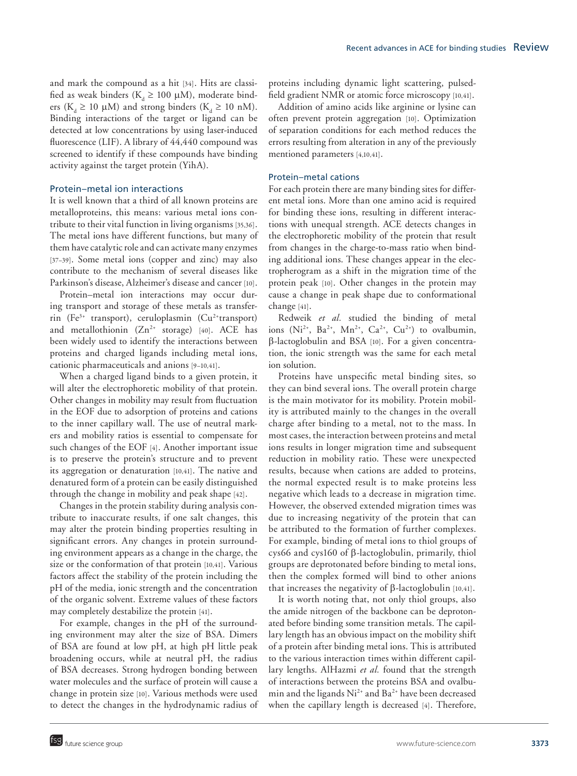and mark the compound as a hit [34]. Hits are classified as weak binders ( $K_d \ge 100 \mu M$ ), moderate binders ( $K_d \ge 10 \mu M$ ) and strong binders ( $K_d \ge 10 \text{ nM}$ ). Binding interactions of the target or ligand can be detected at low concentrations by using laser-induced fluorescence (LIF). A library of 44,440 compound was screened to identify if these compounds have binding activity against the target protein (YihA).

## Protein–metal ion interactions

It is well known that a third of all known proteins are metalloproteins, this means: various metal ions contribute to their vital function in living organisms [35,36]. The metal ions have different functions, but many of them have catalytic role and can activate many enzymes [37–39]. Some metal ions (copper and zinc) may also contribute to the mechanism of several diseases like Parkinson's disease, Alzheimer's disease and cancer [10].

Protein–metal ion interactions may occur during transport and storage of these metals as transferrin (Fe<sup>3+</sup> transport), ceruloplasmin (Cu<sup>2+</sup>transport) and metallothionin  $(Zn^{2+})$  storage) [40]. ACE has been widely used to identify the interactions between proteins and charged ligands including metal ions, cationic pharmaceuticals and anions [9–10,41].

When a charged ligand binds to a given protein, it will alter the electrophoretic mobility of that protein. Other changes in mobility may result from fluctuation in the EOF due to adsorption of proteins and cations to the inner capillary wall. The use of neutral markers and mobility ratios is essential to compensate for such changes of the EOF [4]. Another important issue is to preserve the protein's structure and to prevent its aggregation or denaturation [10,41]. The native and denatured form of a protein can be easily distinguished through the change in mobility and peak shape [42].

Changes in the protein stability during analysis contribute to inaccurate results, if one salt changes, this may alter the protein binding properties resulting in significant errors. Any changes in protein surrounding environment appears as a change in the charge, the size or the conformation of that protein [10,41]. Various factors affect the stability of the protein including the pH of the media, ionic strength and the concentration of the organic solvent. Extreme values of these factors may completely destabilize the protein [41].

For example, changes in the pH of the surrounding environment may alter the size of BSA. Dimers of BSA are found at low pH, at high pH little peak broadening occurs, while at neutral pH, the radius of BSA decreases. Strong hydrogen bonding between water molecules and the surface of protein will cause a change in protein size [10]. Various methods were used to detect the changes in the hydrodynamic radius of proteins including dynamic light scattering, pulsedfield gradient NMR or atomic force microscopy [10,41].

Addition of amino acids like arginine or lysine can often prevent protein aggregation [10]. Optimization of separation conditions for each method reduces the errors resulting from alteration in any of the previously mentioned parameters [4,10,41].

## Protein–metal cations

For each protein there are many binding sites for different metal ions. More than one amino acid is required for binding these ions, resulting in different interactions with unequal strength. ACE detects changes in the electrophoretic mobility of the protein that result from changes in the charge-to-mass ratio when binding additional ions. These changes appear in the electropherogram as a shift in the migration time of the protein peak [10]. Other changes in the protein may cause a change in peak shape due to conformational change [41].

Redweik *et al.* studied the binding of metal ions  $(Ni^{2+}, Ba^{2+}, Mn^{2+}, Ca^{2+}, Cu^{2+})$  to ovalbumin, β-lactoglobulin and BSA [10]. For a given concentration, the ionic strength was the same for each metal ion solution.

Proteins have unspecific metal binding sites, so they can bind several ions. The overall protein charge is the main motivator for its mobility. Protein mobility is attributed mainly to the changes in the overall charge after binding to a metal, not to the mass. In most cases, the interaction between proteins and metal ions results in longer migration time and subsequent reduction in mobility ratio. These were unexpected results, because when cations are added to proteins, the normal expected result is to make proteins less negative which leads to a decrease in migration time. However, the observed extended migration times was due to increasing negativity of the protein that can be attributed to the formation of further complexes. For example, binding of metal ions to thiol groups of cys66 and cys160 of β-lactoglobulin, primarily, thiol groups are deprotonated before binding to metal ions, then the complex formed will bind to other anions that increases the negativity of  $β$ -lactoglobulin [10,41].

It is worth noting that, not only thiol groups, also the amide nitrogen of the backbone can be deprotonated before binding some transition metals. The capillary length has an obvious impact on the mobility shift of a protein after binding metal ions. This is attributed to the various interaction times within different capillary lengths. AlHazmi *et al.* found that the strength of interactions between the proteins BSA and ovalbumin and the ligands  $Ni^{2+}$  and  $Ba^{2+}$  have been decreased when the capillary length is decreased [4]. Therefore,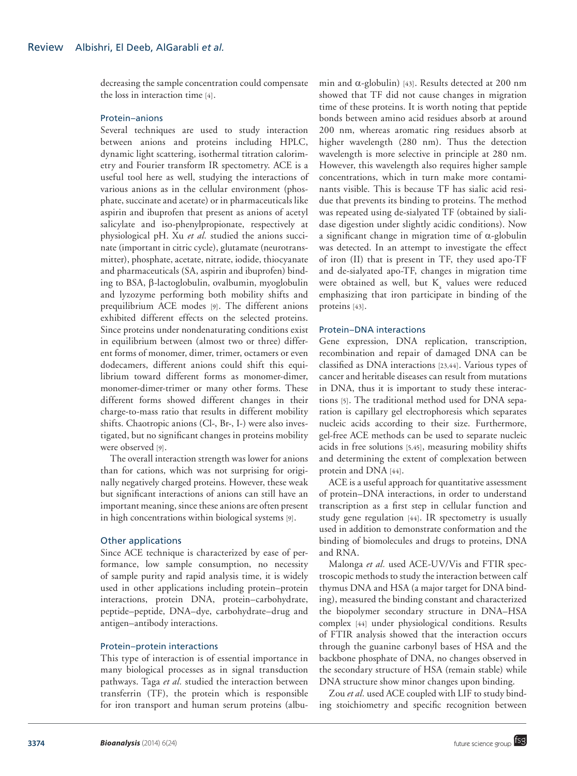decreasing the sample concentration could compensate the loss in interaction time [4].

## Protein–anions

Several techniques are used to study interaction between anions and proteins including HPLC, dynamic light scattering, isothermal titration calorimetry and Fourier transform IR spectometry. ACE is a useful tool here as well, studying the interactions of various anions as in the cellular environment (phosphate, succinate and acetate) or in pharmaceuticals like aspirin and ibuprofen that present as anions of acetyl salicylate and iso-phenylpropionate, respectively at physiological pH. Xu *et al.* studied the anions succinate (important in citric cycle), glutamate (neurotransmitter), phosphate, acetate, nitrate, iodide, thiocyanate and pharmaceuticals (SA, aspirin and ibuprofen) binding to BSA, β-lactoglobulin, ovalbumin, myoglobulin and lyzozyme performing both mobility shifts and prequilibrium ACE modes [9]. The different anions exhibited different effects on the selected proteins. Since proteins under nondenaturating conditions exist in equilibrium between (almost two or three) different forms of monomer, dimer, trimer, octamers or even dodecamers, different anions could shift this equilibrium toward different forms as monomer-dimer, monomer-dimer-trimer or many other forms. These different forms showed different changes in their charge-to-mass ratio that results in different mobility shifts. Chaotropic anions (Cl-, Br-, I-) were also investigated, but no significant changes in proteins mobility were observed [9].

The overall interaction strength was lower for anions than for cations, which was not surprising for originally negatively charged proteins. However, these weak but significant interactions of anions can still have an important meaning, since these anions are often present in high concentrations within biological systems [9].

#### Other applications

Since ACE technique is characterized by ease of performance, low sample consumption, no necessity of sample purity and rapid analysis time, it is widely used in other applications including protein–protein interactions, protein DNA, protein–carbohydrate, peptide–peptide, DNA–dye, carbohydrate–drug and antigen–antibody interactions.

#### Protein–protein interactions

This type of interaction is of essential importance in many biological processes as in signal transduction pathways. Taga *et al.* studied the interaction between transferrin (TF), the protein which is responsible for iron transport and human serum proteins (albumin and  $\alpha$ -globulin) [43]. Results detected at 200 nm showed that TF did not cause changes in migration time of these proteins. It is worth noting that peptide bonds between amino acid residues absorb at around 200 nm, whereas aromatic ring residues absorb at higher wavelength (280 nm). Thus the detection wavelength is more selective in principle at 280 nm. However, this wavelength also requires higher sample concentrations, which in turn make more contaminants visible. This is because TF has sialic acid residue that prevents its binding to proteins. The method was repeated using de-sialyated TF (obtained by sialidase digestion under slightly acidic conditions). Now a significant change in migration time of  $\alpha$ -globulin was detected. In an attempt to investigate the effect of iron (II) that is present in TF, they used apo-TF and de-sialyated apo-TF, changes in migration time were obtained as well, but  $K_{a}$  values were reduced emphasizing that iron participate in binding of the proteins [43].

#### Protein–DNA interactions

Gene expression, DNA replication, transcription, recombination and repair of damaged DNA can be classified as DNA interactions [23,44]. Various types of cancer and heritable diseases can result from mutations in DNA, thus it is important to study these interactions [5]. The traditional method used for DNA separation is capillary gel electrophoresis which separates nucleic acids according to their size. Furthermore, gel-free ACE methods can be used to separate nucleic acids in free solutions [5,45], measuring mobility shifts and determining the extent of complexation between protein and DNA [44].

ACE is a useful approach for quantitative assessment of protein–DNA interactions, in order to understand transcription as a first step in cellular function and study gene regulation [44]. IR spectometry is usually used in addition to demonstrate conformation and the binding of biomolecules and drugs to proteins, DNA and RNA.

Malonga *et al.* used ACE-UV/Vis and FTIR spectroscopic methods to study the interaction between calf thymus DNA and HSA (a major target for DNA binding), measured the binding constant and characterized the biopolymer secondary structure in DNA–HSA complex [44] under physiological conditions. Results of FTIR analysis showed that the interaction occurs through the guanine carbonyl bases of HSA and the backbone phosphate of DNA, no changes observed in the secondary structure of HSA (remain stable) while DNA structure show minor changes upon binding.

Zou *et al.* used ACE coupled with LIF to study binding stoichiometry and specific recognition between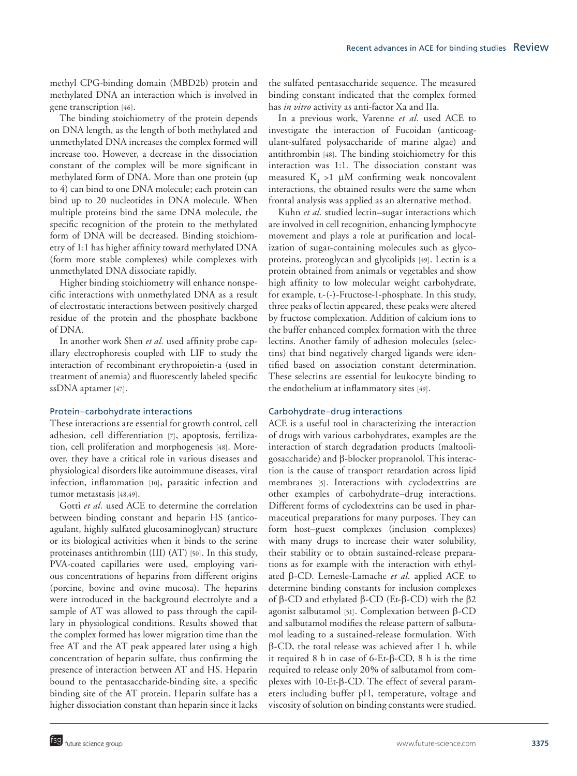methyl CPG-binding domain (MBD2b) protein and methylated DNA an interaction which is involved in gene transcription [46].

The binding stoichiometry of the protein depends on DNA length, as the length of both methylated and unmethylated DNA increases the complex formed will increase too. However, a decrease in the dissociation constant of the complex will be more significant in methylated form of DNA. More than one protein (up to 4) can bind to one DNA molecule; each protein can bind up to 20 nucleotides in DNA molecule. When multiple proteins bind the same DNA molecule, the specific recognition of the protein to the methylated form of DNA will be decreased. Binding stoichiometry of 1:1 has higher affinity toward methylated DNA (form more stable complexes) while complexes with unmethylated DNA dissociate rapidly.

Higher binding stoichiometry will enhance nonspecific interactions with unmethylated DNA as a result of electrostatic interactions between positively charged residue of the protein and the phosphate backbone of DNA.

In another work Shen *et al.* used affinity probe capillary electrophoresis coupled with LIF to study the interaction of recombinant erythropoietin-a (used in treatment of anemia) and fluorescently labeled specific ssDNA aptamer [47].

## Protein–carbohydrate interactions

These interactions are essential for growth control, cell adhesion, cell differentiation [7], apoptosis, fertilization, cell proliferation and morphogenesis [48]. Moreover, they have a critical role in various diseases and physiological disorders like autoimmune diseases, viral infection, inflammation [10], parasitic infection and tumor metastasis [48,49].

Gotti *et al.* used ACE to determine the correlation between binding constant and heparin HS (anticoagulant, highly sulfated glucosaminoglycan) structure or its biological activities when it binds to the serine proteinases antithrombin (III) (AT) [50]. In this study, PVA-coated capillaries were used, employing various concentrations of heparins from different origins (porcine, bovine and ovine mucosa). The heparins were introduced in the background electrolyte and a sample of AT was allowed to pass through the capillary in physiological conditions. Results showed that the complex formed has lower migration time than the free AT and the AT peak appeared later using a high concentration of heparin sulfate, thus confirming the presence of interaction between AT and HS. Heparin bound to the pentasaccharide-binding site, a specific binding site of the AT protein. Heparin sulfate has a higher dissociation constant than heparin since it lacks the sulfated pentasaccharide sequence. The measured binding constant indicated that the complex formed has *in vitro* activity as anti-factor Xa and IIa.

In a previous work, Varenne *et al.* used ACE to investigate the interaction of Fucoidan (anticoagulant-sulfated polysaccharide of marine algae) and antithrombin [48]. The binding stoichiometry for this interaction was 1:1. The dissociation constant was measured  $K_d > 1$   $\mu$ M confirming weak noncovalent interactions, the obtained results were the same when frontal analysis was applied as an alternative method.

Kuhn *et al.* studied lectin–sugar interactions which are involved in cell recognition, enhancing lymphocyte movement and plays a role at purification and localization of sugar-containing molecules such as glycoproteins, proteoglycan and glycolipids [49]. Lectin is a protein obtained from animals or vegetables and show high affinity to low molecular weight carbohydrate, for example, l-(-)-Fructose-1-phosphate. In this study, three peaks of lectin appeared, these peaks were altered by fructose complexation. Addition of calcium ions to the buffer enhanced complex formation with the three lectins. Another family of adhesion molecules (selectins) that bind negatively charged ligands were identified based on association constant determination. These selectins are essential for leukocyte binding to the endothelium at inflammatory sites [49].

#### Carbohydrate–drug interactions

ACE is a useful tool in characterizing the interaction of drugs with various carbohydrates, examples are the interaction of starch degradation products (maltooligosaccharide) and β-blocker propranolol. This interaction is the cause of transport retardation across lipid membranes [5]. Interactions with cyclodextrins are other examples of carbohydrate–drug interactions. Different forms of cyclodextrins can be used in pharmaceutical preparations for many purposes. They can form host–guest complexes (inclusion complexes) with many drugs to increase their water solubility, their stability or to obtain sustained-release preparations as for example with the interaction with ethylated β-CD. Lemesle-Lamache *et al.* applied ACE to determine binding constants for inclusion complexes of β-CD and ethylated β-CD (Et-β-CD) with the β2 agonist salbutamol [51]. Complexation between β-CD and salbutamol modifies the release pattern of salbutamol leading to a sustained-release formulation. With β-CD, the total release was achieved after 1 h, while it required 8 h in case of 6-Et-β-CD, 8 h is the time required to release only 20% of salbutamol from complexes with 10-Et-β-CD. The effect of several parameters including buffer pH, temperature, voltage and viscosity of solution on binding constants were studied.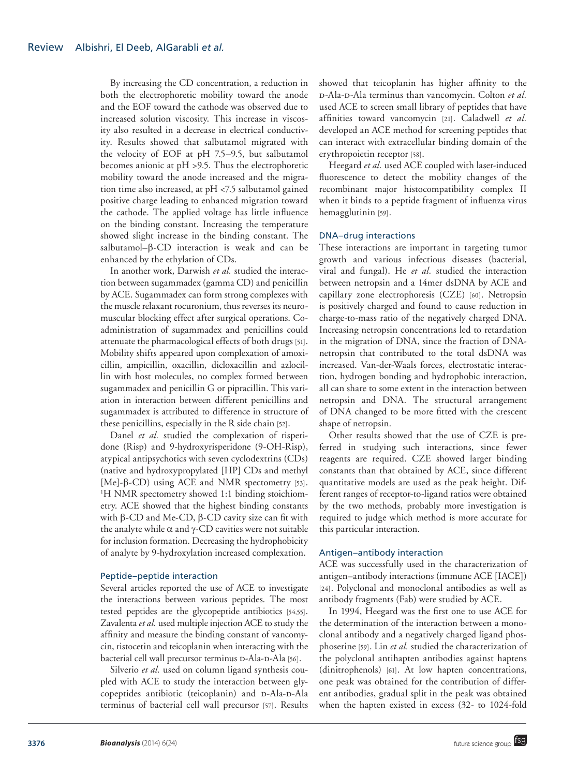By increasing the CD concentration, a reduction in both the electrophoretic mobility toward the anode and the EOF toward the cathode was observed due to increased solution viscosity. This increase in viscosity also resulted in a decrease in electrical conductivity. Results showed that salbutamol migrated with the velocity of EOF at pH 7.5–9.5, but salbutamol becomes anionic at pH >9.5. Thus the electrophoretic mobility toward the anode increased and the migration time also increased, at pH <7.5 salbutamol gained positive charge leading to enhanced migration toward the cathode. The applied voltage has little influence on the binding constant. Increasing the temperature showed slight increase in the binding constant. The salbutamol–β-CD interaction is weak and can be enhanced by the ethylation of CDs.

In another work, Darwish *et al.* studied the interaction between sugammadex (gamma CD) and penicillin by ACE. Sugammadex can form strong complexes with the muscle relaxant rocuronium, thus reverses its neuromuscular blocking effect after surgical operations. Coadministration of sugammadex and penicillins could attenuate the pharmacological effects of both drugs [51]. Mobility shifts appeared upon complexation of amoxicillin, ampicillin, oxacillin, dicloxacillin and azlocillin with host molecules, no complex formed between sugammadex and penicillin G or pipracillin. This variation in interaction between different penicillins and sugammadex is attributed to difference in structure of these penicillins, especially in the R side chain [52].

Danel *et al.* studied the complexation of risperidone (Risp) and 9-hydroxyrisperidone (9-OH-Risp), atypical antipsychotics with seven cyclodextrins (CDs) (native and hydroxypropylated [HP] CDs and methyl [Me]-β-CD) using ACE and NMR spectometry [53]. <sup>1</sup>H NMR spectometry showed 1:1 binding stoichiometry. ACE showed that the highest binding constants with β-CD and Me-CD, β-CD cavity size can fit with the analyte while  $\alpha$  and γ-CD cavities were not suitable for inclusion formation. Decreasing the hydrophobicity of analyte by 9-hydroxylation increased complexation.

#### Peptide–peptide interaction

Several articles reported the use of ACE to investigate the interactions between various peptides. The most tested peptides are the glycopeptide antibiotics [54,55]. Zavalenta *et al.* used multiple injection ACE to study the affinity and measure the binding constant of vancomycin, ristocetin and teicoplanin when interacting with the bacterial cell wall precursor terminus D-Ala-D-Ala [56].

Silverio *et al.* used on column ligand synthesis coupled with ACE to study the interaction between glycopeptides antibiotic (teicoplanin) and D-Ala-D-Ala terminus of bacterial cell wall precursor [57]. Results showed that teicoplanin has higher affinity to the D-Ala-D-Ala terminus than vancomycin. Colton *et al.* used ACE to screen small library of peptides that have affinities toward vancomycin [21]. Caladwell *et al.* developed an ACE method for screening peptides that can interact with extracellular binding domain of the erythropoietin receptor [58].

Heegard *et al.* used ACE coupled with laser-induced fluorescence to detect the mobility changes of the recombinant major histocompatibility complex II when it binds to a peptide fragment of influenza virus hemagglutinin [59].

#### DNA–drug interactions

These interactions are important in targeting tumor growth and various infectious diseases (bacterial, viral and fungal). He *et al.* studied the interaction between netropsin and a 14mer dsDNA by ACE and capillary zone electrophoresis (CZE) [60]. Netropsin is positively charged and found to cause reduction in charge-to-mass ratio of the negatively charged DNA. Increasing netropsin concentrations led to retardation in the migration of DNA, since the fraction of DNAnetropsin that contributed to the total dsDNA was increased. Van-der-Waals forces, electrostatic interaction, hydrogen bonding and hydrophobic interaction, all can share to some extent in the interaction between netropsin and DNA. The structural arrangement of DNA changed to be more fitted with the crescent shape of netropsin.

Other results showed that the use of CZE is preferred in studying such interactions, since fewer reagents are required. CZE showed larger binding constants than that obtained by ACE, since different quantitative models are used as the peak height. Different ranges of receptor-to-ligand ratios were obtained by the two methods, probably more investigation is required to judge which method is more accurate for this particular interaction.

#### Antigen–antibody interaction

ACE was successfully used in the characterization of antigen–antibody interactions (immune ACE [IACE]) [24]. Polyclonal and monoclonal antibodies as well as antibody fragments (Fab) were studied by ACE.

In 1994, Heegard was the first one to use ACE for the determination of the interaction between a monoclonal antibody and a negatively charged ligand phosphoserine [59]. Lin *et al.* studied the characterization of the polyclonal antihapten antibodies against haptens (dinitrophenols) [61]. At low hapten concentrations, one peak was obtained for the contribution of different antibodies, gradual split in the peak was obtained when the hapten existed in excess (32- to 1024-fold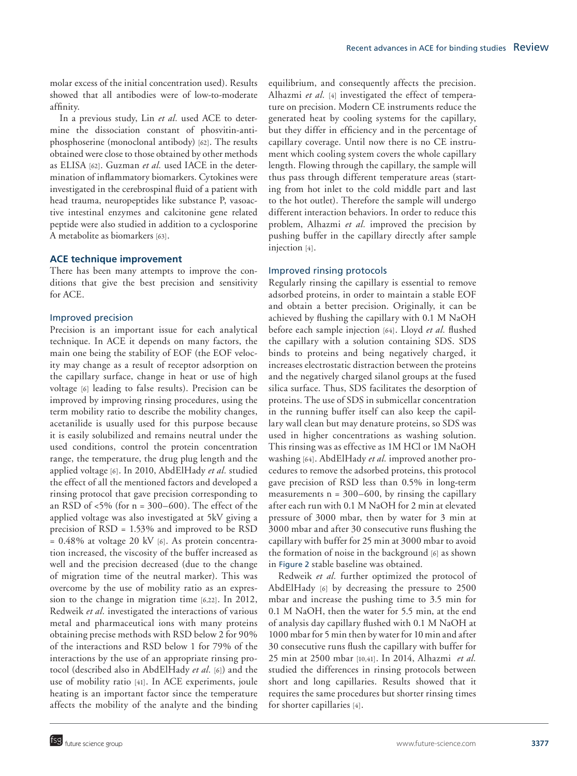molar excess of the initial concentration used). Results showed that all antibodies were of low-to-moderate affinity.

In a previous study, Lin *et al.* used ACE to determine the dissociation constant of phosvitin-antiphosphoserine (monoclonal antibody) [62]. The results obtained were close to those obtained by other methods as ELISA [62]. Guzman *et al.* used IACE in the determination of inflammatory biomarkers. Cytokines were investigated in the cerebrospinal fluid of a patient with head trauma, neuropeptides like substance P, vasoactive intestinal enzymes and calcitonine gene related peptide were also studied in addition to a cyclosporine A metabolite as biomarkers [63].

## **ACE technique improvement**

There has been many attempts to improve the conditions that give the best precision and sensitivity for ACE.

#### Improved precision

Precision is an important issue for each analytical technique. In ACE it depends on many factors, the main one being the stability of EOF (the EOF velocity may change as a result of receptor adsorption on the capillary surface, change in heat or use of high voltage [6] leading to false results). Precision can be improved by improving rinsing procedures, using the term mobility ratio to describe the mobility changes, acetanilide is usually used for this purpose because it is easily solubilized and remains neutral under the used conditions, control the protein concentration range, the temperature, the drug plug length and the applied voltage [6]. In 2010, AbdElHady *et al.* studied the effect of all the mentioned factors and developed a rinsing protocol that gave precision corresponding to an RSD of  $<5\%$  (for  $n = 300-600$ ). The effect of the applied voltage was also investigated at 5kV giving a precision of RSD = 1.53% and improved to be RSD  $= 0.48\%$  at voltage 20 kV [6]. As protein concentration increased, the viscosity of the buffer increased as well and the precision decreased (due to the change of migration time of the neutral marker). This was overcome by the use of mobility ratio as an expression to the change in migration time [6,22]. In 2012, Redweik *et al.* investigated the interactions of various metal and pharmaceutical ions with many proteins obtaining precise methods with RSD below 2 for 90% of the interactions and RSD below 1 for 79% of the interactions by the use of an appropriate rinsing protocol (described also in AbdElHady *et al.* [6]) and the use of mobility ratio [41]. In ACE experiments, joule heating is an important factor since the temperature affects the mobility of the analyte and the binding

equilibrium, and consequently affects the precision. Alhazmi *et al.* [4] investigated the effect of temperature on precision. Modern CE instruments reduce the generated heat by cooling systems for the capillary, but they differ in efficiency and in the percentage of capillary coverage. Until now there is no CE instrument which cooling system covers the whole capillary length. Flowing through the capillary, the sample will thus pass through different temperature areas (starting from hot inlet to the cold middle part and last to the hot outlet). Therefore the sample will undergo different interaction behaviors. In order to reduce this problem, Alhazmi *et al.* improved the precision by pushing buffer in the capillary directly after sample injection [4].

## Improved rinsing protocols

Regularly rinsing the capillary is essential to remove adsorbed proteins, in order to maintain a stable EOF and obtain a better precision. Originally, it can be achieved by flushing the capillary with 0.1 M NaOH before each sample injection [64]. Lloyd *et al.* flushed the capillary with a solution containing SDS. SDS binds to proteins and being negatively charged, it increases electrostatic distraction between the proteins and the negatively charged silanol groups at the fused silica surface. Thus, SDS facilitates the desorption of proteins. The use of SDS in submicellar concentration in the running buffer itself can also keep the capillary wall clean but may denature proteins, so SDS was used in higher concentrations as washing solution. This rinsing was as effective as 1M HCl or 1M NaOH washing [64]. AbdElHady *et al.* improved another procedures to remove the adsorbed proteins, this protocol gave precision of RSD less than 0.5% in long-term measurements  $n = 300-600$ , by rinsing the capillary after each run with 0.1 M NaOH for 2 min at elevated pressure of 3000 mbar, then by water for 3 min at 3000 mbar and after 30 consecutive runs flushing the capillary with buffer for 25 min at 3000 mbar to avoid the formation of noise in the background [6] as shown in Figure 2 stable baseline was obtained.

Redweik *et al.* further optimized the protocol of AbdElHady [6] by decreasing the pressure to 2500 mbar and increase the pushing time to 3.5 min for 0.1 M NaOH, then the water for 5.5 min, at the end of analysis day capillary flushed with 0.1 M NaOH at 1000 mbar for 5 min then by water for 10 min and after 30 consecutive runs flush the capillary with buffer for 25 min at 2500 mbar [10,41]. In 2014, Alhazmi *et al.* studied the differences in rinsing protocols between short and long capillaries. Results showed that it requires the same procedures but shorter rinsing times for shorter capillaries [4].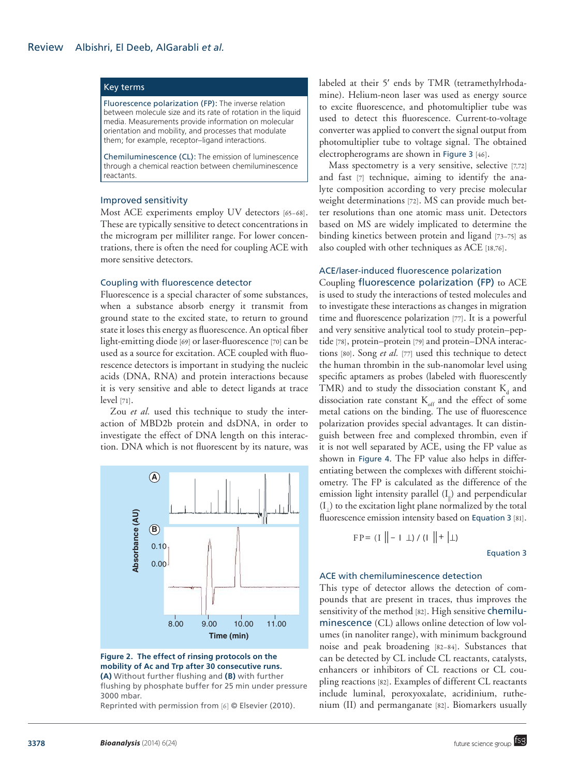## Key terms

Fluorescence polarization (FP): The inverse relation between molecule size and its rate of rotation in the liquid media. Measurements provide information on molecular orientation and mobility, and processes that modulate them; for example, receptor–ligand interactions.

Chemiluminescence (CL): The emission of luminescence through a chemical reaction between chemiluminescence reactants.

#### Improved sensitivity

Most ACE experiments employ UV detectors [65–68]. These are typically sensitive to detect concentrations in the microgram per milliliter range. For lower concentrations, there is often the need for coupling ACE with more sensitive detectors.

#### Coupling with fluorescence detector

Fluorescence is a special character of some substances, when a substance absorb energy it transmit from ground state to the excited state, to return to ground state it loses this energy as fluorescence. An optical fiber light-emitting diode [69] or laser-fluorescence [70] can be used as a source for excitation. ACE coupled with fluorescence detectors is important in studying the nucleic acids (DNA, RNA) and protein interactions because it is very sensitive and able to detect ligands at trace level [71].

Zou *et al.* used this technique to study the interaction of MBD2b protein and dsDNA, in order to investigate the effect of DNA length on this interaction. DNA which is not fluorescent by its nature, was



**Figure 2. The effect of rinsing protocols on the mobility of Ac and Trp after 30 consecutive runs. (A)** Without further flushing and **(B)** with further flushing by phosphate buffer for 25 min under pressure 3000 mbar.

Reprinted with permission from [6] © Elsevier (2010).

labeled at their 5′ ends by TMR (tetramethylrhodamine). Helium-neon laser was used as energy source to excite fluorescence, and photomultiplier tube was used to detect this fluorescence. Current-to-voltage converter was applied to convert the signal output from photomultiplier tube to voltage signal. The obtained electropherograms are shown in Figure 3 [46].

Mass spectometry is a very sensitive, selective [7,72] and fast [7] technique, aiming to identify the analyte composition according to very precise molecular weight determinations [72]. MS can provide much better resolutions than one atomic mass unit. Detectors based on MS are widely implicated to determine the binding kinetics between protein and ligand [73–75] as also coupled with other techniques as ACE [18,76].

## ACE/laser-induced fluorescence polarization

Coupling fluorescence polarization (FP) to ACE is used to study the interactions of tested molecules and to investigate these interactions as changes in migration time and fluorescence polarization [77]. It is a powerful and very sensitive analytical tool to study protein–peptide [78], protein–protein [79] and protein–DNA interactions [80]. Song *et al.* [77] used this technique to detect the human thrombin in the sub-nanomolar level using specific aptamers as probes (labeled with fluorescently TMR) and to study the dissociation constant  $K_d$  and dissociation rate constant  $K_{\text{off}}$  and the effect of some metal cations on the binding. The use of fluorescence polarization provides special advantages. It can distinguish between free and complexed thrombin, even if it is not well separated by ACE, using the FP value as shown in Figure 4. The FP value also helps in differentiating between the complexes with different stoichiometry. The FP is calculated as the difference of the emission light intensity parallel  $(I_{\shortparallel})$  and perpendicular  $(\mathrm{I}_\perp)$  to the excitation light plane normalized by the total fluorescence emission intensity based on Equation 3 [81].

$$
FP = (I \parallel - \parallel \perp) / (I \parallel + \parallel \perp)
$$

Equation 3

#### ACE with chemiluminescence detection

This type of detector allows the detection of compounds that are present in traces, thus improves the sensitivity of the method [82]. High sensitive chemiluminescence (CL) allows online detection of low volumes (in nanoliter range), with minimum background noise and peak broadening [82–84]. Substances that can be detected by CL include CL reactants, catalysts, enhancers or inhibitors of CL reactions or CL coupling reactions [82]. Examples of different CL reactants include luminal, peroxyoxalate, acridinium, ruthenium (II) and permanganate [82]. Biomarkers usually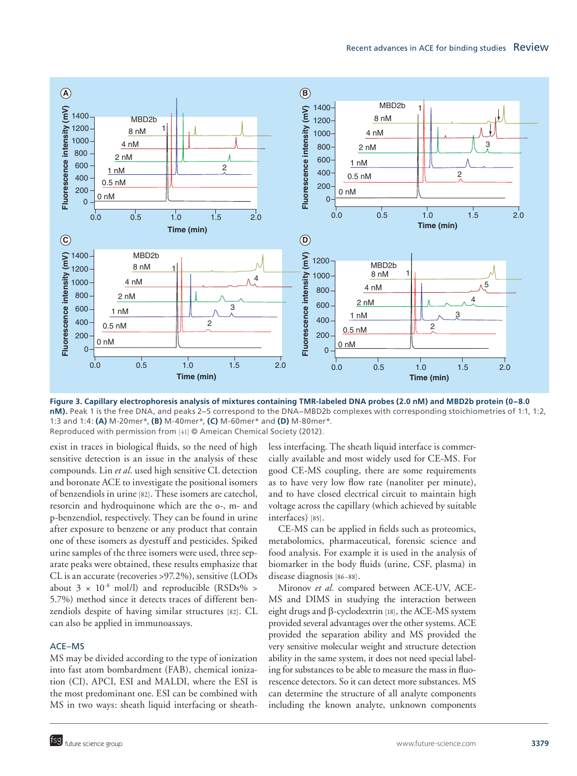

**Figure 3. Capillary electrophoresis analysis of mixtures containing TMR-labeled DNA probes (2.0 nM) and MBD2b protein (0−8.0 nM).** Peak 1 is the free DNA, and peaks 2−5 correspond to the DNA−MBD2b complexes with corresponding stoichiometries of 1:1, 1:2, 1:3 and 1:4: **(A)** M-20mer\*, **(B)** M-40mer\*, **(C)** M-60mer\* and **(D)** M-80mer\*. Reproduced with permission from [41] © Ameican Chemical Society (2012).

exist in traces in biological fluids, so the need of high sensitive detection is an issue in the analysis of these compounds. Lin *et al.* used high sensitive CL detection and boronate ACE to investigate the positional isomers of benzendiols in urine [82]. These isomers are catechol, resorcin and hydroquinone which are the o-, m- and p-benzendiol, respectively. They can be found in urine after exposure to benzene or any product that contain one of these isomers as dyestuff and pesticides. Spiked urine samples of the three isomers were used, three separate peaks were obtained, these results emphasize that CL is an accurate (recoveries >97.2%), sensitive (LODs about  $3 \times 10^{-8}$  mol/l) and reproducible (RSDs% > 5.7%) method since it detects traces of different benzendiols despite of having similar structures [82]. CL can also be applied in immunoassays.

#### ACE–MS

MS may be divided according to the type of ionization into fast atom bombardment (FAB), chemical ionization (CI), APCI, ESI and MALDI, where the ESI is the most predominant one. ESI can be combined with MS in two ways: sheath liquid interfacing or sheathless interfacing. The sheath liquid interface is commercially available and most widely used for CE-MS. For good CE-MS coupling, there are some requirements as to have very low flow rate (nanoliter per minute), and to have closed electrical circuit to maintain high voltage across the capillary (which achieved by suitable interfaces) [85].

CE-MS can be applied in fields such as proteomics, metabolomics, pharmaceutical, forensic science and food analysis. For example it is used in the analysis of biomarker in the body fluids (urine, CSF, plasma) in disease diagnosis [86–88].

Mironov *et al.* compared between ACE-UV, ACE-MS and DIMS in studying the interaction between eight drugs and β-cyclodextrin [18], the ACE-MS system provided several advantages over the other systems. ACE provided the separation ability and MS provided the very sensitive molecular weight and structure detection ability in the same system, it does not need special labeling for substances to be able to measure the mass in fluorescence detectors. So it can detect more substances. MS can determine the structure of all analyte components including the known analyte, unknown components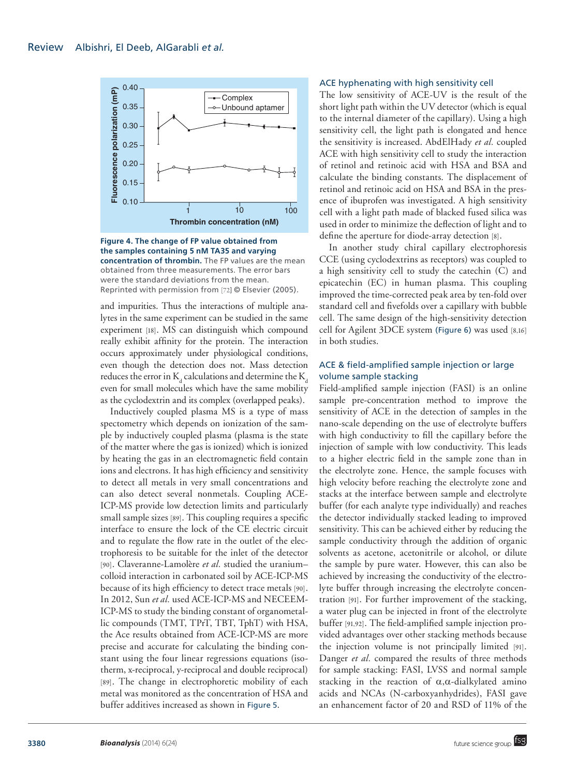

**Figure 4. The change of FP value obtained from the samples containing 5 nM TA35 and varying concentration of thrombin.** The FP values are the mean obtained from three measurements. The error bars were the standard deviations from the mean. Reprinted with permission from [72] © Elsevier (2005).

and impurities. Thus the interactions of multiple analytes in the same experiment can be studied in the same experiment [18]. MS can distinguish which compound really exhibit affinity for the protein. The interaction occurs approximately under physiological conditions, even though the detection does not. Mass detection reduces the error in  $\mathrm{K}_\mathrm{d}$  calculations and determine the  $\mathrm{K}_\mathrm{d}$ even for small molecules which have the same mobility as the cyclodextrin and its complex (overlapped peaks).

Inductively coupled plasma MS is a type of mass spectometry which depends on ionization of the sample by inductively coupled plasma (plasma is the state of the matter where the gas is ionized) which is ionized by heating the gas in an electromagnetic field contain ions and electrons. It has high efficiency and sensitivity to detect all metals in very small concentrations and can also detect several nonmetals. Coupling ACE-ICP-MS provide low detection limits and particularly small sample sizes [89]. This coupling requires a specific interface to ensure the lock of the CE electric circuit and to regulate the flow rate in the outlet of the electrophoresis to be suitable for the inlet of the detector [90]. Claveranne-Lamolère *et al.* studied the uranium– colloid interaction in carbonated soil by ACE-ICP-MS because of its high efficiency to detect trace metals [90]. In 2012, Sun *et al.* used ACE-ICP-MS and NECEEM-ICP-MS to study the binding constant of organometallic compounds (TMT, TPrT, TBT, TphT) with HSA, the Ace results obtained from ACE-ICP-MS are more precise and accurate for calculating the binding constant using the four linear regressions equations (isotherm, x-reciprocal, y-reciprocal and double reciprocal) [89]. The change in electrophoretic mobility of each metal was monitored as the concentration of HSA and buffer additives increased as shown in Figure 5.

#### ACE hyphenating with high sensitivity cell

The low sensitivity of ACE-UV is the result of the short light path within the UV detector (which is equal to the internal diameter of the capillary). Using a high sensitivity cell, the light path is elongated and hence the sensitivity is increased. AbdElHady *et al.* coupled ACE with high sensitivity cell to study the interaction of retinol and retinoic acid with HSA and BSA and calculate the binding constants. The displacement of retinol and retinoic acid on HSA and BSA in the presence of ibuprofen was investigated. A high sensitivity cell with a light path made of blacked fused silica was used in order to minimize the deflection of light and to define the aperture for diode-array detection [8].

In another study chiral capillary electrophoresis CCE (using cyclodextrins as receptors) was coupled to a high sensitivity cell to study the catechin (C) and epicatechin (EC) in human plasma. This coupling improved the time-corrected peak area by ten-fold over standard cell and fivefolds over a capillary with bubble cell. The same design of the high-sensitivity detection cell for Agilent 3DCE system (Figure 6) was used [8,16] in both studies.

## ACE & field-amplified sample injection or large volume sample stacking

Field-amplified sample injection (FASI) is an online sample pre-concentration method to improve the sensitivity of ACE in the detection of samples in the nano-scale depending on the use of electrolyte buffers with high conductivity to fill the capillary before the injection of sample with low conductivity. This leads to a higher electric field in the sample zone than in the electrolyte zone. Hence, the sample focuses with high velocity before reaching the electrolyte zone and stacks at the interface between sample and electrolyte buffer (for each analyte type individually) and reaches the detector individually stacked leading to improved sensitivity. This can be achieved either by reducing the sample conductivity through the addition of organic solvents as acetone, acetonitrile or alcohol, or dilute the sample by pure water. However, this can also be achieved by increasing the conductivity of the electrolyte buffer through increasing the electrolyte concentration [91]. For further improvement of the stacking, a water plug can be injected in front of the electrolyte buffer [91,92]. The field-amplified sample injection provided advantages over other stacking methods because the injection volume is not principally limited [91]. Danger *et al.* compared the results of three methods for sample stacking: FASI, LVSS and normal sample stacking in the reaction of  $\alpha$ , $\alpha$ -dialkylated amino acids and NCAs (N-carboxyanhydrides), FASI gave an enhancement factor of 20 and RSD of 11% of the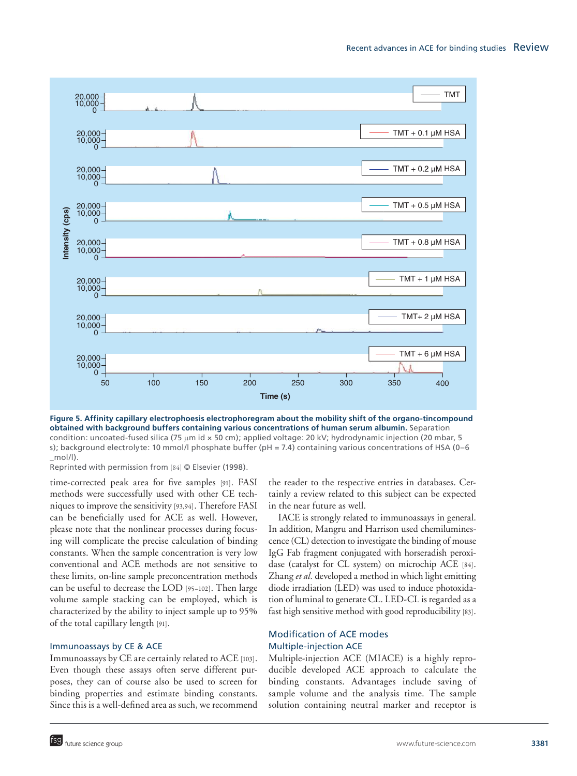

**Figure 5. Affinity capillary electrophoesis electrophoregram about the mobility shift of the organo-tincompound obtained with background buffers containing various concentrations of human serum albumin.** Separation condition: uncoated-fused silica (75 μm id × 50 cm); applied voltage: 20 kV; hydrodynamic injection (20 mbar, 5 s); background electrolyte: 10 mmol/l phosphate buffer (pH = 7.4) containing various concentrations of HSA (0–6  $mol/l)$ .

Reprinted with permission from [84] © Elsevier (1998).

time-corrected peak area for five samples [91]. FASI methods were successfully used with other CE techniques to improve the sensitivity [93,94]. Therefore FASI can be beneficially used for ACE as well. However, please note that the nonlinear processes during focusing will complicate the precise calculation of binding constants. When the sample concentration is very low conventional and ACE methods are not sensitive to these limits, on-line sample preconcentration methods can be useful to decrease the LOD [95–102]. Then large volume sample stacking can be employed, which is characterized by the ability to inject sample up to 95% of the total capillary length [91].

#### Immunoassays by CE & ACE

Immunoassays by CE are certainly related to ACE [103]. Even though these assays often serve different purposes, they can of course also be used to screen for binding properties and estimate binding constants. Since this is a well-defined area as such, we recommend the reader to the respective entries in databases. Certainly a review related to this subject can be expected in the near future as well.

IACE is strongly related to immunoassays in general. In addition, Mangru and Harrison used chemiluminescence (CL) detection to investigate the binding of mouse IgG Fab fragment conjugated with horseradish peroxidase (catalyst for CL system) on microchip ACE [84]. Zhang *et al.* developed a method in which light emitting diode irradiation (LED) was used to induce photoxidation of luminal to generate CL. LED-CL is regarded as a fast high sensitive method with good reproducibility [83].

## Modification of ACE modes Multiple-injection ACE

Multiple-injection ACE (MIACE) is a highly reproducible developed ACE approach to calculate the binding constants. Advantages include saving of sample volume and the analysis time. The sample solution containing neutral marker and receptor is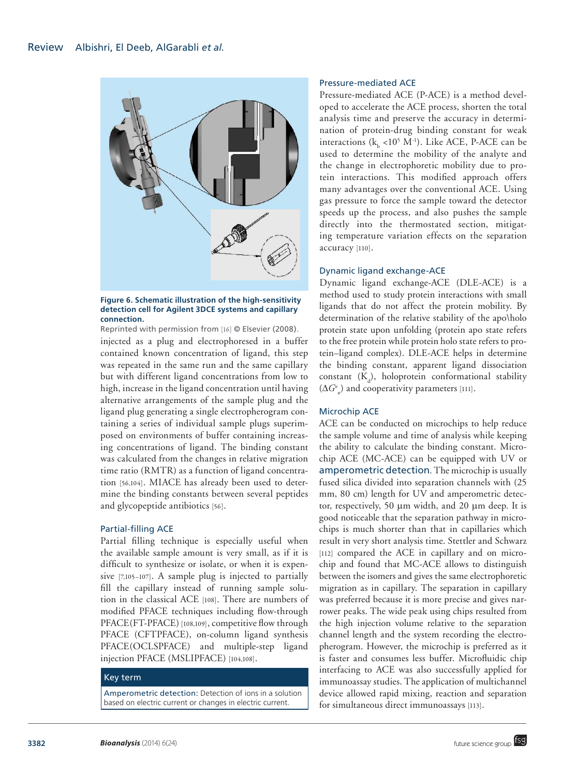

**Figure 6. Schematic illustration of the high-sensitivity detection cell for Agilent 3DCE systems and capillary connection.**

injected as a plug and electrophoresed in a buffer contained known concentration of ligand, this step was repeated in the same run and the same capillary but with different ligand concentrations from low to high, increase in the ligand concentration until having alternative arrangements of the sample plug and the ligand plug generating a single electropherogram containing a series of individual sample plugs superimposed on environments of buffer containing increasing concentrations of ligand. The binding constant was calculated from the changes in relative migration time ratio (RMTR) as a function of ligand concentration [56,104]. MIACE has already been used to determine the binding constants between several peptides and glycopeptide antibiotics [56]. Reprinted with permission from [16] © Elsevier (2008).

#### Partial-filling ACE

Partial filling technique is especially useful when the available sample amount is very small, as if it is difficult to synthesize or isolate, or when it is expensive [7,105–107]. A sample plug is injected to partially fill the capillary instead of running sample solution in the classical ACE [108]. There are numbers of modified PFACE techniques including flow-through PFACE(FT-PFACE) [108,109], competitive flow through PFACE (CFTPFACE), on-column ligand synthesis PFACE(OCLSPFACE) and multiple-step ligand injection PFACE (MSLIPFACE) [104,108].

## Key term

Amperometric detection: Detection of ions in a solution based on electric current or changes in electric current.

#### Pressure-mediated ACE

Pressure-mediated ACE (P-ACE) is a method developed to accelerate the ACE process, shorten the total analysis time and preserve the accuracy in determination of protein-drug binding constant for weak interactions ( $k_b$  <10<sup>5</sup> M<sup>-1</sup>). Like ACE, P-ACE can be used to determine the mobility of the analyte and the change in electrophoretic mobility due to protein interactions. This modified approach offers many advantages over the conventional ACE. Using gas pressure to force the sample toward the detector speeds up the process, and also pushes the sample directly into the thermostated section, mitigating temperature variation effects on the separation accuracy [110].

#### Dynamic ligand exchange-ACE

Dynamic ligand exchange-ACE (DLE-ACE) is a method used to study protein interactions with small ligands that do not affect the protein mobility. By determination of the relative stability of the apo\holo protein state upon unfolding (protein apo state refers to the free protein while protein holo state refers to protein–ligand complex). DLE-ACE helps in determine the binding constant, apparent ligand dissociation  $constant$  ( $K_d$ ), holoprotein conformational stability  $(\Delta G^{\circ}_{u})$  and cooperativity parameters [111].

#### Microchip ACE

ACE can be conducted on microchips to help reduce the sample volume and time of analysis while keeping the ability to calculate the binding constant. Microchip ACE (MC-ACE) can be equipped with UV or amperometric detection. The microchip is usually fused silica divided into separation channels with (25 mm, 80 cm) length for UV and amperometric detector, respectively, 50 μm width, and 20 μm deep. It is good noticeable that the separation pathway in microchips is much shorter than that in capillaries which result in very short analysis time. Stettler and Schwarz [112] compared the ACE in capillary and on microchip and found that MC-ACE allows to distinguish between the isomers and gives the same electrophoretic migration as in capillary. The separation in capillary was preferred because it is more precise and gives narrower peaks. The wide peak using chips resulted from the high injection volume relative to the separation channel length and the system recording the electropherogram. However, the microchip is preferred as it is faster and consumes less buffer. Microfluidic chip interfacing to ACE was also successfully applied for immunoassay studies. The application of multichannel device allowed rapid mixing, reaction and separation for simultaneous direct immunoassays [113].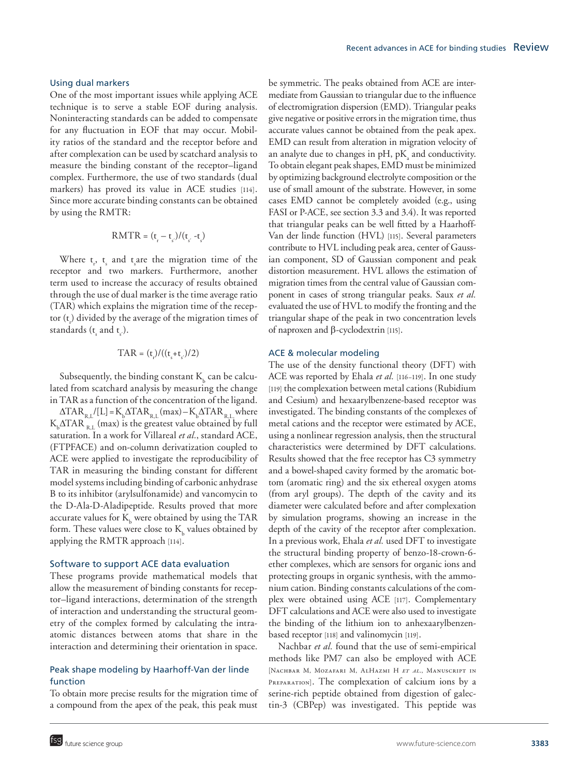## Using dual markers

One of the most important issues while applying ACE technique is to serve a stable EOF during analysis. Noninteracting standards can be added to compensate for any fluctuation in EOF that may occur. Mobility ratios of the standard and the receptor before and after complexation can be used by scatchard analysis to measure the binding constant of the receptor–ligand complex. Furthermore, the use of two standards (dual markers) has proved its value in ACE studies [114]. Since more accurate binding constants can be obtained by using the RMTR:

$$
RMTR = (t_r - t_{s'})/(t_{s'} - t_s)
$$

Where  $t_r$ ,  $t_s$  and  $t_s$  are the migration time of the receptor and two markers. Furthermore, another term used to increase the accuracy of results obtained through the use of dual marker is the time average ratio (TAR) which explains the migration time of the receptor (t r ) divided by the average of the migration times of standards ( $t_s$  and  $t_{s'}$ ).

$$
\mathrm{TAR} = (\mathrm{t}_{_{\mathrm{r}}})/((\mathrm{t}_{_{\mathrm{s}}}+\mathrm{t}_{_{\mathrm{s}}'})/2)
$$

Subsequently, the binding constant  $\mathrm{K}_{_{\mathrm{b}}}$  can be calculated from scatchard analysis by measuring the change in TAR as a function of the concentration of the ligand.

 $\Delta TAR_{R,L} / [L] = K_b \Delta TAR_{R,L} (max) - K_b \Delta TAR_{R,L}$ , where  $\mathrm{K}_{\mathrm{b}}\Delta \mathrm{TAR}_{\mathrm{R,L}}$  (max) is the greatest value obtained by full saturation. In a work for Villareal *et al.*, standard ACE, (FTPFACE) and on-column derivatization coupled to ACE were applied to investigate the reproducibility of TAR in measuring the binding constant for different model systems including binding of carbonic anhydrase B to its inhibitor (arylsulfonamide) and vancomycin to the D-Ala-D-Aladipeptide. Results proved that more accurate values for  $\text{K}_{_{\text{b}}}$  were obtained by using the TAR form. These values were close to  $\mathrm{K}_{\mathrm{b}}$  values obtained by applying the RMTR approach [114].

#### Software to support ACE data evaluation

These programs provide mathematical models that allow the measurement of binding constants for receptor–ligand interactions, determination of the strength of interaction and understanding the structural geometry of the complex formed by calculating the intraatomic distances between atoms that share in the interaction and determining their orientation in space.

## Peak shape modeling by Haarhoff-Van der linde function

To obtain more precise results for the migration time of a compound from the apex of the peak, this peak must

be symmetric. The peaks obtained from ACE are intermediate from Gaussian to triangular due to the influence of electromigration dispersion (EMD). Triangular peaks give negative or positive errors in the migration time, thus accurate values cannot be obtained from the peak apex. EMD can result from alteration in migration velocity of an analyte due to changes in pH,  $pK_a$  and conductivity. To obtain elegant peak shapes, EMD must be minimized by optimizing background electrolyte composition or the use of small amount of the substrate. However, in some cases EMD cannot be completely avoided (e.g., using FASI or P-ACE, see section 3.3 and 3.4). It was reported that triangular peaks can be well fitted by a Haarhoff-Van der linde function (HVL) [115]. Several parameters contribute to HVL including peak area, center of Gaussian component, SD of Gaussian component and peak distortion measurement. HVL allows the estimation of migration times from the central value of Gaussian component in cases of strong triangular peaks. Saux *et al.* evaluated the use of HVL to modify the fronting and the triangular shape of the peak in two concentration levels of naproxen and β-cyclodextrin [115].

#### ACE & molecular modeling

The use of the density functional theory (DFT) with ACE was reported by Ehala *et al.* [116–119]. In one study [119] the complexation between metal cations (Rubidium and Cesium) and hexaarylbenzene-based receptor was investigated. The binding constants of the complexes of metal cations and the receptor were estimated by ACE, using a nonlinear regression analysis, then the structural characteristics were determined by DFT calculations. Results showed that the free receptor has C3 symmetry and a bowel-shaped cavity formed by the aromatic bottom (aromatic ring) and the six ethereal oxygen atoms (from aryl groups). The depth of the cavity and its diameter were calculated before and after complexation by simulation programs, showing an increase in the depth of the cavity of the receptor after complexation. In a previous work, Ehala *et al.* used DFT to investigate the structural binding property of benzo-18-crown-6 ether complexes, which are sensors for organic ions and protecting groups in organic synthesis, with the ammonium cation. Binding constants calculations of the complex were obtained using ACE [117]. Complementary DFT calculations and ACE were also used to investigate the binding of the lithium ion to anhexaarylbenzenbased receptor [118] and valinomycin [119].

Nachbar *et al.* found that the use of semi-empirical methods like PM7 can also be employed with ACE [Nachbar M, Mozafari M, AlHazmi H et al., Manuscript in PREPARATION]. The complexation of calcium ions by a serine-rich peptide obtained from digestion of galectin-3 (CBPep) was investigated. This peptide was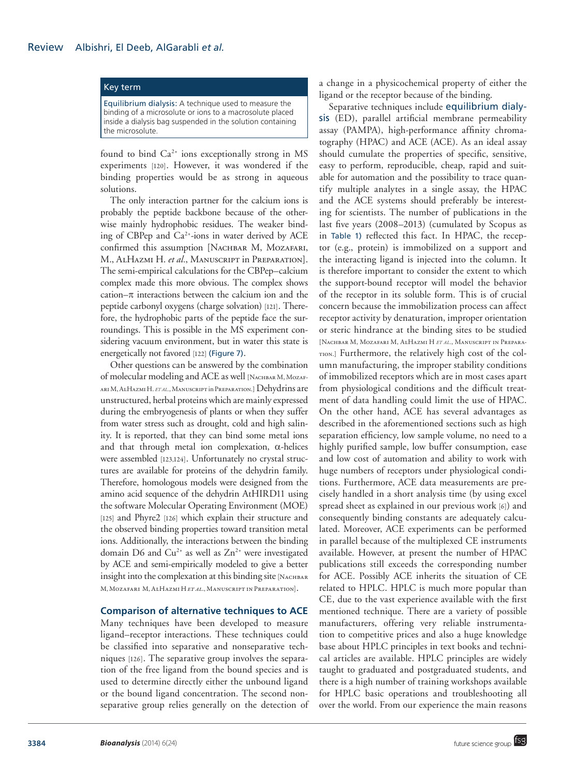## Key term

Equilibrium dialysis: A technique used to measure the binding of a microsolute or ions to a macrosolute placed inside a dialysis bag suspended in the solution containing the microsolute.

found to bind  $Ca^{2+}$  ions exceptionally strong in MS experiments [120]. However, it was wondered if the binding properties would be as strong in aqueous solutions.

The only interaction partner for the calcium ions is probably the peptide backbone because of the otherwise mainly hydrophobic residues. The weaker binding of CBPep and  $Ca^{2+}$ -ions in water derived by ACE confirmed this assumption [NACHBAR M, MOZAFARI, M., AlHazmi H. *et al.*, Manuscript in Preparation]. The semi-empirical calculations for the CBPep–calcium complex made this more obvious. The complex shows cation– $\pi$  interactions between the calcium ion and the peptide carbonyl oxygens (charge solvation) [121]. Therefore, the hydrophobic parts of the peptide face the surroundings. This is possible in the MS experiment considering vacuum environment, but in water this state is energetically not favored [122] (Figure 7).

Other questions can be answered by the combination of molecular modeling and ACE as well [NACHBAR M, MOZAFari M, AlHazmi H. *ET AL.*, Manuscript in Preparation.] Dehydrins are unstructured, herbal proteins which are mainly expressed during the embryogenesis of plants or when they suffer from water stress such as drought, cold and high salinity. It is reported, that they can bind some metal ions and that through metal ion complexation,  $\alpha$ -helices were assembled [123,124]. Unfortunately no crystal structures are available for proteins of the dehydrin family. Therefore, homologous models were designed from the amino acid sequence of the dehydrin AtHIRD11 using the software Molecular Operating Environment (MOE) [125] and Phyre2 [126] which explain their structure and the observed binding properties toward transition metal ions. Additionally, the interactions between the binding domain D6 and  $Cu^{2+}$  as well as  $Zn^{2+}$  were investigated by ACE and semi-empirically modeled to give a better insight into the complexation at this binding site [NACHBAR M, Mozafari M, AlHazmi H et al., Manuscript in Preparation].

## **Comparison of alternative techniques to ACE**

Many techniques have been developed to measure ligand–receptor interactions. These techniques could be classified into separative and nonseparative techniques [126]. The separative group involves the separation of the free ligand from the bound species and is used to determine directly either the unbound ligand or the bound ligand concentration. The second nonseparative group relies generally on the detection of a change in a physicochemical property of either the ligand or the receptor because of the binding.

Separative techniques include equilibrium dialysis (ED), parallel artificial membrane permeability assay (PAMPA), high-performance affinity chromatography (HPAC) and ACE (ACE). As an ideal assay should cumulate the properties of specific, sensitive, easy to perform, reproducible, cheap, rapid and suitable for automation and the possibility to trace quantify multiple analytes in a single assay, the HPAC and the ACE systems should preferably be interesting for scientists. The number of publications in the last five years (2008–2013) (cumulated by Scopus as in Table 1) reflected this fact. In HPAC, the receptor (e.g., protein) is immobilized on a support and the interacting ligand is injected into the column. It is therefore important to consider the extent to which the support-bound receptor will model the behavior of the receptor in its soluble form. This is of crucial concern because the immobilization process can affect receptor activity by denaturation, improper orientation or steric hindrance at the binding sites to be studied [Nachbar M, Mozafari M, AlHazmi H *ET AL.*, Manuscript in Preparation.] Furthermore, the relatively high cost of the column manufacturing, the improper stability conditions of immobilized receptors which are in most cases apart from physiological conditions and the difficult treatment of data handling could limit the use of HPAC. On the other hand, ACE has several advantages as described in the aforementioned sections such as high separation efficiency, low sample volume, no need to a highly purified sample, low buffer consumption, ease and low cost of automation and ability to work with huge numbers of receptors under physiological conditions. Furthermore, ACE data measurements are precisely handled in a short analysis time (by using excel spread sheet as explained in our previous work [6]) and consequently binding constants are adequately calculated. Moreover, ACE experiments can be performed in parallel because of the multiplexed CE instruments available. However, at present the number of HPAC publications still exceeds the corresponding number for ACE. Possibly ACE inherits the situation of CE related to HPLC. HPLC is much more popular than CE, due to the vast experience available with the first mentioned technique. There are a variety of possible manufacturers, offering very reliable instrumentation to competitive prices and also a huge knowledge base about HPLC principles in text books and technical articles are available. HPLC principles are widely taught to graduated and postgraduated students, and there is a high number of training workshops available for HPLC basic operations and troubleshooting all over the world. From our experience the main reasons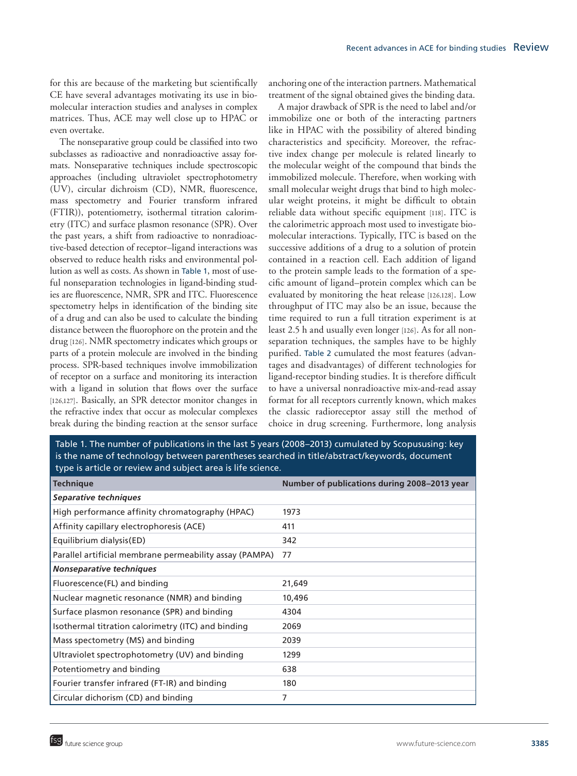for this are because of the marketing but scientifically CE have several advantages motivating its use in biomolecular interaction studies and analyses in complex matrices. Thus, ACE may well close up to HPAC or even overtake.

The nonseparative group could be classified into two subclasses as radioactive and nonradioactive assay formats. Nonseparative techniques include spectroscopic approaches (including ultraviolet spectrophotometry (UV), circular dichroism (CD), NMR, fluorescence, mass spectometry and Fourier transform infrared (FTIR)), potentiometry, isothermal titration calorimetry (ITC) and surface plasmon resonance (SPR). Over the past years, a shift from radioactive to nonradioactive-based detection of receptor–ligand interactions was observed to reduce health risks and environmental pollution as well as costs. As shown in Table 1, most of useful nonseparation technologies in ligand-binding studies are fluorescence, NMR, SPR and ITC. Fluorescence spectometry helps in identification of the binding site of a drug and can also be used to calculate the binding distance between the fluorophore on the protein and the drug [126]. NMR spectometry indicates which groups or parts of a protein molecule are involved in the binding process. SPR-based techniques involve immobilization of receptor on a surface and monitoring its interaction with a ligand in solution that flows over the surface [126,127]. Basically, an SPR detector monitor changes in the refractive index that occur as molecular complexes break during the binding reaction at the sensor surface

anchoring one of the interaction partners. Mathematical treatment of the signal obtained gives the binding data.

A major drawback of SPR is the need to label and/or immobilize one or both of the interacting partners like in HPAC with the possibility of altered binding characteristics and specificity. Moreover, the refractive index change per molecule is related linearly to the molecular weight of the compound that binds the immobilized molecule. Therefore, when working with small molecular weight drugs that bind to high molecular weight proteins, it might be difficult to obtain reliable data without specific equipment [118]. ITC is the calorimetric approach most used to investigate biomolecular interactions. Typically, ITC is based on the successive additions of a drug to a solution of protein contained in a reaction cell. Each addition of ligand to the protein sample leads to the formation of a specific amount of ligand–protein complex which can be evaluated by monitoring the heat release [126,128]. Low throughput of ITC may also be an issue, because the time required to run a full titration experiment is at least 2.5 h and usually even longer [126]. As for all nonseparation techniques, the samples have to be highly purified. Table 2 cumulated the most features (advantages and disadvantages) of different technologies for ligand-receptor binding studies. It is therefore difficult to have a universal nonradioactive mix-and-read assay format for all receptors currently known, which makes the classic radioreceptor assay still the method of choice in drug screening. Furthermore, long analysis

Table 1. The number of publications in the last 5 years (2008–2013) cumulated by Scopususing: key is the name of technology between parentheses searched in title/abstract/keywords, document type is article or review and subject area is life science.

| <b>Technique</b>                                        | Number of publications during 2008-2013 year |
|---------------------------------------------------------|----------------------------------------------|
| Separative techniques                                   |                                              |
| High performance affinity chromatography (HPAC)         | 1973                                         |
| Affinity capillary electrophoresis (ACE)                | 411                                          |
| Equilibrium dialysis (ED)                               | 342                                          |
| Parallel artificial membrane permeability assay (PAMPA) | 77                                           |
| Nonseparative techniques                                |                                              |
| Fluorescence (FL) and binding                           | 21,649                                       |
| Nuclear magnetic resonance (NMR) and binding            | 10,496                                       |
| Surface plasmon resonance (SPR) and binding             | 4304                                         |
| Isothermal titration calorimetry (ITC) and binding      | 2069                                         |
| Mass spectometry (MS) and binding                       | 2039                                         |
| Ultraviolet spectrophotometry (UV) and binding          | 1299                                         |
| Potentiometry and binding                               | 638                                          |
| Fourier transfer infrared (FT-IR) and binding           | 180                                          |
| Circular dichorism (CD) and binding                     | 7                                            |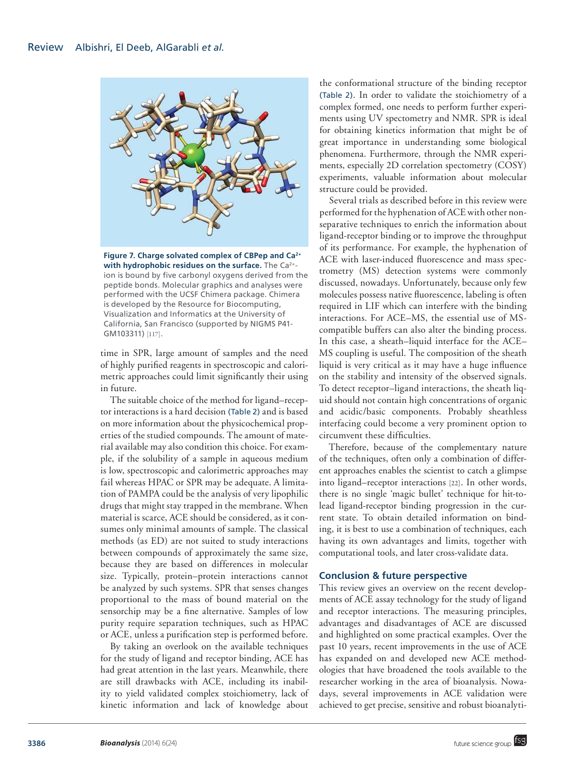

**Figure 7. Charge solvated complex of CBPep and Ca2+ with hydrophobic residues on the surface.** The Ca2+ ion is bound by five carbonyl oxygens derived from the peptide bonds. Molecular graphics and analyses were performed with the UCSF Chimera package. Chimera is developed by the Resource for Biocomputing, Visualization and Informatics at the University of California, San Francisco (supported by NIGMS P41- GM103311) [117].

time in SPR, large amount of samples and the need of highly purified reagents in spectroscopic and calorimetric approaches could limit significantly their using in future.

The suitable choice of the method for ligand–receptor interactions is a hard decision (Table 2) and is based on more information about the physicochemical properties of the studied compounds. The amount of material available may also condition this choice. For example, if the solubility of a sample in aqueous medium is low, spectroscopic and calorimetric approaches may fail whereas HPAC or SPR may be adequate. A limitation of PAMPA could be the analysis of very lipophilic drugs that might stay trapped in the membrane. When material is scarce, ACE should be considered, as it consumes only minimal amounts of sample. The classical methods (as ED) are not suited to study interactions between compounds of approximately the same size, because they are based on differences in molecular size. Typically, protein–protein interactions cannot be analyzed by such systems. SPR that senses changes proportional to the mass of bound material on the sensorchip may be a fine alternative. Samples of low purity require separation techniques, such as HPAC or ACE, unless a purification step is performed before.

By taking an overlook on the available techniques for the study of ligand and receptor binding, ACE has had great attention in the last years. Meanwhile, there are still drawbacks with ACE, including its inability to yield validated complex stoichiometry, lack of kinetic information and lack of knowledge about

the conformational structure of the binding receptor (Table 2). In order to validate the stoichiometry of a complex formed, one needs to perform further experiments using UV spectometry and NMR. SPR is ideal for obtaining kinetics information that might be of great importance in understanding some biological phenomena. Furthermore, through the NMR experiments, especially 2D correlation spectometry (COSY) experiments, valuable information about molecular structure could be provided.

Several trials as described before in this review were performed for the hyphenation of ACE with other nonseparative techniques to enrich the information about ligand-receptor binding or to improve the throughput of its performance. For example, the hyphenation of ACE with laser-induced fluorescence and mass spectrometry (MS) detection systems were commonly discussed, nowadays. Unfortunately, because only few molecules possess native fluorescence, labeling is often required in LIF which can interfere with the binding interactions. For ACE–MS, the essential use of MScompatible buffers can also alter the binding process. In this case, a sheath–liquid interface for the ACE– MS coupling is useful. The composition of the sheath liquid is very critical as it may have a huge influence on the stability and intensity of the observed signals. To detect receptor–ligand interactions, the sheath liquid should not contain high concentrations of organic and acidic/basic components. Probably sheathless interfacing could become a very prominent option to circumvent these difficulties.

Therefore, because of the complementary nature of the techniques, often only a combination of different approaches enables the scientist to catch a glimpse into ligand–receptor interactions [22]. In other words, there is no single 'magic bullet' technique for hit-tolead ligand-receptor binding progression in the current state. To obtain detailed information on binding, it is best to use a combination of techniques, each having its own advantages and limits, together with computational tools, and later cross-validate data.

## **Conclusion & future perspective**

This review gives an overview on the recent developments of ACE assay technology for the study of ligand and receptor interactions. The measuring principles, advantages and disadvantages of ACE are discussed and highlighted on some practical examples. Over the past 10 years, recent improvements in the use of ACE has expanded on and developed new ACE methodologies that have broadened the tools available to the researcher working in the area of bioanalysis. Nowadays, several improvements in ACE validation were achieved to get precise, sensitive and robust bioanalyti-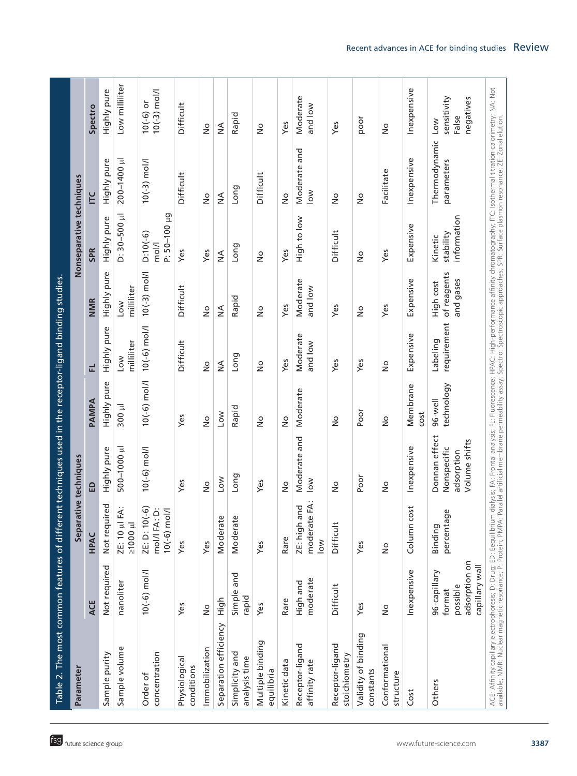| Table 2. The most common features of different techniques used in the receptor-ligand binding studies.                                                                                                                           |                                                                       |                                                                                       |                                                             |                       |                          |                                       |                                     |                             |                                          |
|----------------------------------------------------------------------------------------------------------------------------------------------------------------------------------------------------------------------------------|-----------------------------------------------------------------------|---------------------------------------------------------------------------------------|-------------------------------------------------------------|-----------------------|--------------------------|---------------------------------------|-------------------------------------|-----------------------------|------------------------------------------|
| Parameter                                                                                                                                                                                                                        |                                                                       | Separative techniques                                                                 |                                                             |                       |                          |                                       | Nonseparative techniques            |                             |                                          |
|                                                                                                                                                                                                                                  | ACE                                                                   | <b>HPAC</b>                                                                           | ED                                                          | PAMPA                 | 군                        | <b>NMR</b>                            | <b>SPR</b>                          | E                           | Spectro                                  |
| Sample purity                                                                                                                                                                                                                    | Not required                                                          | Ъә<br>Not requir                                                                      | Highly pure                                                 | Highly pure           | Highly pure              | Highly pure                           | Highly pure                         | Highly pure                 | Highly pure                              |
| Sample volume                                                                                                                                                                                                                    | nanoliter                                                             | ZE: 10 µl FA:<br>$\mu$ 000                                                            | اµ 1000–1000                                                | $300 \mu$             | milliliter<br><b>NO7</b> | milliliter<br>Low                     | $D: 30 - 500 \mu$                   | 200-1400 µl                 | Low milliliter                           |
| concentration<br>Order of                                                                                                                                                                                                        | $10(-6)$ mol/l                                                        | $\widehat{\Theta}$<br>$\ddot{\Omega}$<br>$10(-6)$ mol/l<br>ZE: D: 10 (-<br>mol/l FA:1 | $10(-6)$ mol/l                                              | $10(-6)$ mol/l        | $10(-6)$ mol/l           | $10(-3)$ mol/l                        | P: 50-100 µg<br>$D:10(-6)$<br>mol/l | $10(-3)$ mol/l              | $10(-6)$ or<br>$10(-3)$ mol/l            |
| Physiological<br>conditions                                                                                                                                                                                                      | Yes                                                                   | Yes                                                                                   | Yes                                                         | Yes                   | Difficult                | Difficult                             | Yes                                 | Difficult                   | Difficult                                |
| Immobilization                                                                                                                                                                                                                   | $\frac{1}{2}$                                                         | Yes                                                                                   | $\frac{1}{2}$                                               | $\frac{1}{2}$         | $\frac{1}{2}$            | $\frac{1}{2}$                         | Yes                                 | $\frac{1}{2}$               | $\frac{1}{2}$                            |
| Separation efficiency                                                                                                                                                                                                            | High                                                                  | Moderate                                                                              | Low                                                         | Low                   | $\frac{4}{2}$            | $\frac{1}{2}$                         | $\frac{1}{2}$                       | $\frac{1}{2}$               | $\frac{1}{2}$                            |
| Simplicity and<br>analysis time                                                                                                                                                                                                  | Simple and<br>rapid                                                   | Moderate                                                                              | Long                                                        | Rapid                 | Long                     | Rapid                                 | Long                                | Long                        | Rapid                                    |
| Multiple binding<br>equilibria                                                                                                                                                                                                   | Yes                                                                   | Yes                                                                                   | Yes                                                         | $\frac{1}{2}$         | $\frac{1}{2}$            | $\frac{1}{2}$                         | $\frac{1}{2}$                       | Difficult                   | $\frac{1}{2}$                            |
| Kinetic data                                                                                                                                                                                                                     | Rare                                                                  | Rare                                                                                  | $\frac{1}{2}$                                               | $\frac{1}{2}$         | Yes                      | Yes                                   | Yes                                 | $\frac{1}{2}$               | Yes                                      |
| Receptor-ligand<br>affinity rate                                                                                                                                                                                                 | moderate<br>High and                                                  | moderate FA:<br>ZE: high and<br>$\geq$                                                | Moderate and<br>$\geq$                                      | Moderate              | Moderate<br>and low      | Moderate<br>and low                   | High to low                         | Moderate and<br>$\geq$      | Moderate<br>and low                      |
| Receptor-ligand<br>stoichiometry                                                                                                                                                                                                 | Difficult                                                             | Difficult                                                                             | $\frac{1}{2}$                                               | $\frac{1}{2}$         | Yes                      | Yes                                   | Difficult                           | $\frac{1}{2}$               | Yes                                      |
| Validity of binding<br>constants                                                                                                                                                                                                 | Yes                                                                   | Yes                                                                                   | Poor                                                        | Poor                  | Yes                      | $\frac{1}{2}$                         | $\frac{1}{2}$                       | $\frac{1}{2}$               | poor                                     |
| Conformational<br>structure                                                                                                                                                                                                      | $\frac{1}{2}$                                                         | $\frac{1}{2}$                                                                         | $\frac{1}{2}$                                               | $\frac{1}{2}$         | $\frac{1}{2}$            | Yes                                   | Yes                                 | Facilitate                  | $\frac{1}{2}$                            |
| Cost                                                                                                                                                                                                                             | Inexpensive                                                           | st<br>Column cc                                                                       | Inexpensive                                                 | Membrane<br>cost      | Expensive                | Expensive                             | Expensive                           | Inexpensive                 | Inexpensive                              |
| Others                                                                                                                                                                                                                           | adsorption on<br>Capillary wall<br>96-capillary<br>possible<br>format | O<br>percentag<br>Binding                                                             | Donnan effect<br>Volume shifts<br>Nonspecific<br>adsorption | technology<br>96-well | requirement<br>Labeling  | of reagents<br>and gases<br>High cost | information<br>stability<br>Kinetic | Thermodynamic<br>parameters | sensitivity<br>negatives<br>False<br>Low |
| ACE: Affinity capillary electrophoresis; D: Drug; ED: Eequilibrium dialysis; FA: Frontal analysis; FL: Fluorescence; HPAC: High-performance affinity dromatography; ITC: Isothermal titration calorimetry; Not Not<br>available; |                                                                       |                                                                                       |                                                             |                       |                          |                                       |                                     |                             |                                          |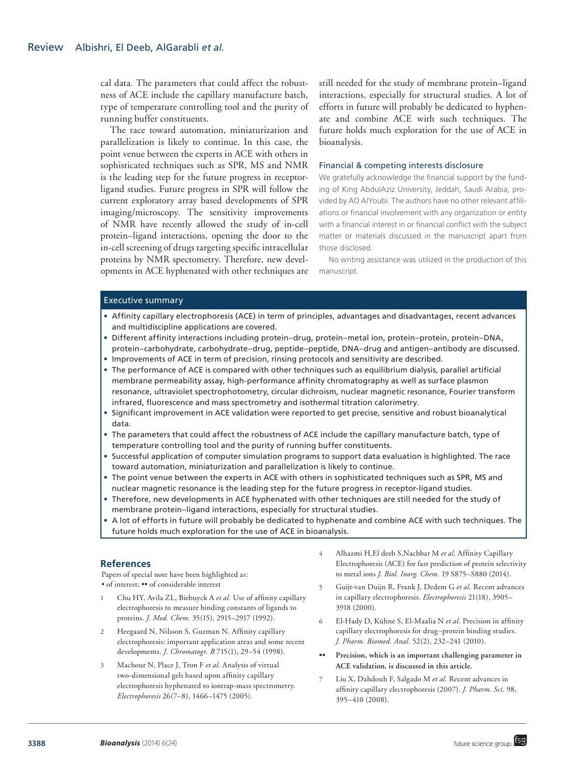cal data. The parameters that could affect the robustness of ACE include the capillary manufacture batch, type of temperature controlling tool and the purity of running buffer constituents.

The race toward automation, miniaturization and parallelization is likely to continue. In this case, the point venue between the experts in ACE with others in sophisticated techniques such as SPR, MS and NMR is the leading step for the future progress in receptorligand studies. Future progress in SPR will follow the current exploratory array based developments of SPR imaging/microscopy. The sensitivity improvements of NMR have recently allowed the study of in-cell protein–ligand interactions, opening the door to the in-cell screening of drugs targeting specific intracellular proteins by NMR spectometry. Therefore, new developments in ACE hyphenated with other techniques are still needed for the study of membrane protein–ligand interactions, especially for structural studies. A lot of efforts in future will probably be dedicated to hyphenate and combine ACE with such techniques. The future holds much exploration for the use of ACE in bioanalysis.

#### Financial & competing interests disclosure

We gratefully acknowledge the financial support by the funding of King AbdulAziz University, Jeddah, Saudi Arabia, provided by AO AlYoubi. The authors have no other relevant affiliations or financial involvement with any organization or entity with a financial interest in or financial conflict with the subject matter or materials discussed in the manuscript apart from those disclosed.

No writing assistance was utilized in the production of this manuscript.

#### Executive summary

- Affinity capillary electrophoresis (ACE) in term of principles, advantages and disadvantages, recent advances and multidiscipline applications are covered.
- Different affinity interactions including protein–drug, protein–metal ion, protein–protein, protein–DNA, protein–carbohydrate, carbohydrate–drug, peptide–peptide, DNA–drug and antigen–antibody are discussed.
- Improvements of ACE in term of precision, rinsing protocols and sensitivity are described.
- The performance of ACE is compared with other techniques such as equilibrium dialysis, parallel artificial membrane permeability assay, high-performance affinity chromatography as well as surface plasmon resonance, ultraviolet spectrophotometry, circular dichroism, nuclear magnetic resonance, Fourier transform infrared, fluorescence and mass spectrometry and isothermal titration calorimetry.
- Significant improvement in ACE validation were reported to get precise, sensitive and robust bioanalytical data.
- The parameters that could affect the robustness of ACE include the capillary manufacture batch, type of temperature controlling tool and the purity of running buffer constituents.
- Successful application of computer simulation programs to support data evaluation is highlighted. The race toward automation, miniaturization and parallelization is likely to continue.
- The point venue between the experts in ACE with others in sophisticated techniques such as SPR, MS and nuclear magnetic resonance is the leading step for the future progress in receptor-ligand studies.
- Therefore, new developments in ACE hyphenated with other techniques are still needed for the study of membrane protein–ligand interactions, especially for structural studies.
- A lot of efforts in future will probably be dedicated to hyphenate and combine ACE with such techniques. The future holds much exploration for the use of ACE in bioanalysis.

## **References**

Papers of special note have been highlighted as: • of interest; •• of considerable interest

- 1 Chu HY, Avila ZL, Biebuyck A *et al.* Use of affinity capillary electrophoresis to measure binding constants of ligands to proteins. *J. Med. Chem.* 35(15), 2915–2917 (1992).
- 2 Heegaard N, Nilsson S, Guzman N. Affinity capillary electrophoresis: important application areas and some recent developments. *J. Chromatogr. B* 715(1), 29–54 (1998).
- Machour N, Place J, Tron F et al. Analysis of virtual two-dimensional gels based upon affinity capillary electrophoresis hyphenated to iontrap-mass spectrometry. *Electrophoresis* 26(7–8), 1466–1475 (2005).
- 4 Alhazmi H,El deeb S,Nachbar M *et al*. Affinity Capillary Electrophoresis (ACE) for fast prediction of protein selectivity to metal ions *J. Biol. Inorg. Chem.* 19 S875–S880 (2014).
- 5 Guijt-van Duijn R, Frank J, Dedem G *et al.* Recent advances in capillary electrophoresis. *Electrophoresis* 21(18), 3905– 3918 (2000).
- 6 El-Hady D, Kühne S, El-Maalia N *et al.* Precision in affinity capillary electrophoresis for drug–protein binding studies. *J. Pharm. Biomed. Anal.* 52(2), 232–241 (2010).
- Precision, which is an important challenging parameter in **ACEvalidation,isdiscussedinthisarticle.**
- 7 Liu X, Dahdouh F, Salgado M *et al.* Recent advances in affinity capillary electrophoresis (2007). *J. Pharm. Sci.* 98, 395–410 (2008).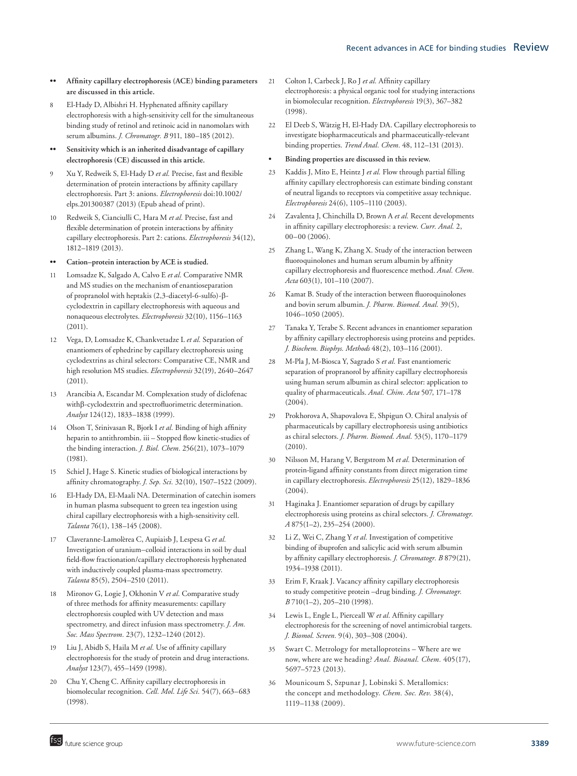- Affinity capillary electrophoresis (ACE) binding parameters are discussed in this article.
- 8 El-Hady D, Albishri H. Hyphenated affinity capillary electrophoresis with a high-sensitivity cell for the simultaneous binding study of retinol and retinoic acid in nanomolars with serum albumins. *J. Chromatogr. B* 911, 180–185 (2012).
- Sensitivity which is an inherited disadvantage of capillary electrophoresis (CE) discussed in this article.
- 9 Xu Y, Redweik S, El-Hady D *et al.* Precise, fast and flexible determination of protein interactions by affinity capillary electrophoresis. Part 3: anions. *Electrophoresis* doi:10.1002/ elps.201300387 (2013) (Epub ahead of print).
- 10 Redweik S, Cianciulli C, Hara M *et al.* Precise, fast and flexible determination of protein interactions by affinity capillary electrophoresis. Part 2: cations. *Electrophoresis* 34(12), 1812–1819 (2013).
- Cation–protein interaction by ACE is studied.
- 11 Lomsadze K, Salgado A, Calvo E *et al.* Comparative NMR and MS studies on the mechanism of enantioseparation of propranolol with heptakis (2,3-diacetyl-6-sulfo)-βcyclodextrin in capillary electrophoresis with aqueous and nonaqueous electrolytes. *Electrophoresis* 32(10), 1156–1163 (2011).
- 12 Vega, D, Lomsadze K, Chankvetadze L *et al.* Separation of enantiomers of ephedrine by capillary electrophoresis using cyclodextrins as chiral selectors: Comparative CE, NMR and high resolution MS studies. *Electrophoresis* 32(19), 2640–2647 (2011).
- 13 Arancibia A, Escandar M. Complexation study of diclofenac withβ-cyclodextrin and spectrofluorimetric determination. *Analyst* 124(12), 1833–1838 (1999).
- 14 Olson T, Srinivasan R, Bjork I *et al.* Binding of high affinity heparin to antithrombin. iii – Stopped flow kinetic-studies of the binding interaction. *J. Biol. Chem.* 256(21), 1073–1079 (1981).
- 15 Schiel J, Hage S. Kinetic studies of biological interactions by affinity chromatography. *J. Sep. Sci.* 32(10), 1507–1522 (2009).
- 16 El-Hady DA, El-Maali NA. Determination of catechin isomers in human plasma subsequent to green tea ingestion using chiral capillary electrophoresis with a high-sensitivity cell. *Talanta* 76(1), 138–145 (2008).
- 17 Claveranne-Lamolèrea C, Aupiaisb J, Lespesa G *et al.* Investigation of uranium–colloid interactions in soil by dual field-flow fractionation/capillary electrophoresis hyphenated with inductively coupled plasma-mass spectrometry. *Talanta* 85(5), 2504–2510 (2011).
- 18 Mironov G, Logie J, Okhonin V *et al.* Comparative study of three methods for affinity measurements: capillary electrophoresis coupled with UV detection and mass spectrometry, and direct infusion mass spectrometry. *J. Am. Soc. Mass Spectrom.* 23(7), 1232–1240 (2012).
- 19 Liu J, Abidb S, Haila M *et al.* Use of affinity capillary electrophoresis for the study of protein and drug interactions. *Analyst* 123(7), 455–1459 (1998).
- 20 Chu Y, Cheng C. Affinity capillary electrophoresis in biomolecular recognition. *Cell. Mol. Life Sci.* 54(7), 663–683 (1998).
- 21 Colton I, Carbeck J, Ro J *et al.* Affinity capillary electrophoresis: a physical organic tool for studying interactions in biomolecular recognition. *Electrophoresis* 19(3), 367–382 (1998).
- 22 El Deeb S, Wätzig H, El-Hady DA. Capillary electrophoresis to investigate biopharmaceuticals and pharmaceutically-relevant binding properties. *Trend Anal. Chem.* 48, 112–131 (2013).
- **Binding properties are discussed in this review.**
- 23 Kaddis J, Mito E, Heintz J *et al.* Flow through partial filling affinity capillary electrophoresis can estimate binding constant of neutral ligands to receptors via competitive assay technique. *Electrophoresis* 24(6), 1105–1110 (2003).
- Zavalenta J, Chinchilla D, Brown A et al. Recent developments in affinity capillary electrophoresis: a review. *Curr. Anal.* 2, 00–00 (2006).
- 25 Zhang L, Wang K, Zhang X. Study of the interaction between fluoroquinolones and human serum albumin by affinity capillary electrophoresis and fluorescence method. *Anal. Chem. Acta* 603(1), 101–110 (2007).
- Kamat B. Study of the interaction between fluoroquinolones and bovin serum albumin. *J. Pharm. Biomed. Anal.* 39(5), 1046–1050 (2005).
- 27 Tanaka Y, Terabe S. Recent advances in enantiomer separation by affinity capillary electrophoresis using proteins and peptides. *J. Biochem. Biophys. Methods* 48(2), 103–116 (2001).
- 28 M-Pla J, M-Biosca Y, Sagrado S *et al.* Fast enantiomeric separation of propranorol by affinity capillary electrophoresis using human serum albumin as chiral selector: application to quality of pharmaceuticals. *Anal. Chim. Acta* 507, 171–178  $(2004)$ .
- Prokhorova A, Shapovalova E, Shpigun O. Chiral analysis of pharmaceuticals by capillary electrophoresis using antibiotics as chiral selectors. *J. Pharm. Biomed. Anal.* 53(5), 1170–1179 (2010).
- Nilsson M, Harang V, Bergstrom M et al. Determination of protein-ligand affinity constants from direct migeration time in capillary electrophoresis. *Electrophoresis* 25(12), 1829–1836  $(2004)$ .
- 31 Haginaka J. Enantiomer separation of drugs by capillary electrophoresis using proteins as chiral selectors. *J. Chromatogr. A* 875(1–2), 235–254 (2000).
- Li Z, Wei C, Zhang Y et al. Investigation of competitive binding of ibuprofen and salicylic acid with serum albumin by affinity capillary electrophoresis. *J. Chromatogr. B* 879(21), 1934–1938 (2011).
- Erim F, Kraak J. Vacancy affinity capillary electrophoresis to study competitive protein –drug binding. *J. Chromatogr. B* 710(1–2), 205–210 (1998).
- Lewis L, Engle L, Pierceall W et al. Affinity capillary electrophoresis for the screening of novel antimicrobial targets. *J. Biomol. Screen.* 9(4), 303–308 (2004).
- 35 Swart C. Metrology for metalloproteins Where are we now, where are we heading? *Anal. Bioanal. Chem.* 405(17), 5697–5723 (2013).
- 36 Mounicoum S, Szpunar J, Lobinski S. Metallomics: the concept and methodology. *Chem. Soc. Rev.* 38(4), 1119–1138 (2009).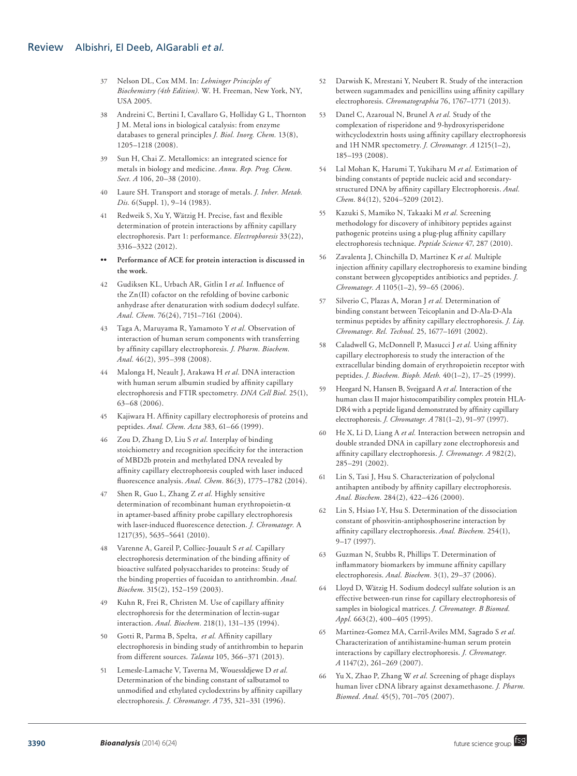- 37 Nelson DL, Cox MM. In: *Lehninger Principles of Biochemistry (4th Edition).* W. H. Freeman, New York, NY, USA 2005.
- 38 Andreini C, Bertini I, Cavallaro G, Holliday G L, Thornton J M. Metal ions in biological catalysis: from enzyme databases to general principles *J. Biol. Inorg. Chem.* 13(8), 1205–1218 (2008).
- 39 Sun H, Chai Z. Metallomics: an integrated science for metals in biology and medicine. *Annu. Rep. Prog. Chem. Sect. A* 106, 20–38 (2010).
- 40 Laure SH. Transport and storage of metals. *J. Inher. Metab. Dis.* 6(Suppl. 1), 9–14 (1983).
- 41 Redweik S, Xu Y, Wätzig H. Precise, fast and flexible determination of protein interactions by affinity capillary electrophoresis. Part 1: performance. *Electrophoresis* 33(22), 3316–3322 (2012).
- Performance of ACE for protein interaction is discussed in **thework.**
- 42 Gudiksen KL, Urbach AR, Gitlin I *et al.* Influence of the Zn(II) cofactor on the refolding of bovine carbonic anhydrase after denaturation with sodium dodecyl sulfate. *Anal. Chem.* 76(24), 7151–7161 (2004).
- 43 Taga A, Maruyama R, Yamamoto Y *et al.* Observation of interaction of human serum components with transferring by affinity capillary electrophoresis. *J. Pharm. Biochem. Anal.* 46(2), 395–398 (2008).
- 44 Malonga H, Neault J, Arakawa H *et al.* DNA interaction with human serum albumin studied by affinity capillary electrophoresis and FTIR spectometry. *DNA Cell Biol.* 25(1), 63–68 (2006).
- 45 Kajiwara H. Affinity capillary electrophoresis of proteins and peptides. *Anal. Chem. Acta* 383, 61–66 (1999).
- 46 Zou D, Zhang D, Liu S *et al.* Interplay of binding stoichiometry and recognition specificity for the interaction of MBD2b protein and methylated DNA revealed by affinity capillary electrophoresis coupled with laser induced fluorescence analysis. *Anal. Chem.* 86(3), 1775–1782 (2014).
- 47 Shen R, Guo L, Zhang Z *et al.* Highly sensitive determination of recombinant human erythropoietin-α in aptamer-based affinity probe capillary electrophoresis with laser-induced fluorescence detection. *J. Chromatogr.* A 1217(35), 5635–5641 (2010).
- 48 Varenne A, Gareil P, Colliec-Jouault S *et al.* Capillary electrophoresis determination of the binding affinity of bioactive sulfated polysaccharides to proteins: Study of the binding properties of fucoidan to antithrombin. *Anal. Biochem.* 315(2), 152–159 (2003).
- Kuhn R, Frei R, Christen M. Use of capillary affinity electrophoresis for the determination of lectin-sugar interaction. *Anal. Biochem.* 218(1), 131–135 (1994).
- 50 Gotti R, Parma B, Spelta, *et al.* Affinity capillary electrophoresis in binding study of antithrombin to heparin from different sources. *Talanta* 105, 366–371 (2013).
- 51 Lemesle-Lamache V, Taverna M, Wouessldjewe D *et al.* Determination of the binding constant of salbutamol to unmodified and ethylated cyclodextrins by affinity capillary electrophoresis. *J. Chromatogr. A* 735, 321–331 (1996).
- 52 Darwish K, Mrestani Y, Neubert R. Study of the interaction between sugammadex and penicillins using affinity capillary electrophoresis. *Chromatographia* 76, 1767–1771 (2013).
- 53 Danel C, Azaroual N, Brunel A *et al.* Study of the complexation of risperidone and 9-hydroxyrisperidone withcyclodextrin hosts using affinity capillary electrophoresis and 1H NMR spectometry. *J. Chromatogr. A* 1215(1–2), 185–193 (2008).
- 54 Lal Mohan K, Harumi T, Yukiharu M *et al.* Estimation of binding constants of peptide nucleic acid and secondarystructured DNA by affinity capillary Electrophoresis. *Anal. Chem.* 84(12), 5204–5209 (2012).
- 55 Kazuki S, Mamiko N, Takaaki M *et al.* Screening methodology for discovery of inhibitory peptides against pathogenic proteins using a plug-plug affinity capillary electrophoresis technique. *Peptide Science* 47, 287 (2010).
- 56 Zavalenta J, Chinchilla D, Martinez K *et al.* Multiple injection affinity capillary electrophoresis to examine binding constant between glycopeptides antibiotics and peptides. *J. Chromatogr. A* 1105(1–2), 59–65 (2006).
- 57 Silverio C, Plazas A, Moran J *et al.* Determination of binding constant between Teicoplanin and D-Ala-D-Ala terminus peptides by affinity capillary electrophoresis. *J. Liq. Chromatogr. Rel. Technol.* 25, 1677–1691 (2002).
- 58 Caladwell G, McDonnell P, Masucci J *et al.* Using affinity capillary electrophoresis to study the interaction of the extracellular binding domain of erythropoietin receptor with peptides. *J. Biochem. Bioph. Meth.* 40(1–2), 17–25 (1999).
- 59 Heegard N, Hansen B, Svejgaard A *et al.* Interaction of the human class II major histocompatibility complex protein HLA-DR4 with a peptide ligand demonstrated by affinity capillary electrophoresis. *J. Chromatogr. A* 781(1–2), 91–97 (1997).
- 60 He X, Li D, Liang A *et al.* Interaction between netropsin and double stranded DNA in capillary zone electrophoresis and affinity capillary electrophoresis. *J. Chromatogr. A* 982(2), 285–291 (2002).
- 61 Lin S, Tasi J, Hsu S. Characterization of polyclonal antihapten antibody by affinity capillary electrophoresis. *Anal. Biochem.* 284(2), 422–426 (2000).
- 62 Lin S, Hsiao I-Y, Hsu S. Determination of the dissociation constant of phosvitin-antiphosphoserine interaction by affinity capillary electrophoresis. *Anal. Biochem.* 254(1), 9–17 (1997).
- 63 Guzman N, Stubbs R, Phillips T. Determination of inflammatory biomarkers by immune affinity capillary electrophoresis. *Anal. Biochem.* 3(1), 29–37 (2006).
- 64 Lloyd D, Wätzig H. Sodium dodecyl sulfate solution is an effective between-run rinse for capillary electrophoresis of samples in biological matrices. *J. Chromatogr. B Biomed. Appl.* 663(2), 400–405 (1995).
- 65 Martinez-Gomez MA, Carril-Aviles MM, Sagrado S *et al.* Characterization of antihistamine-human serum protein interactions by capillary electrophoresis. *J. Chromatogr. A* 1147(2), 261–269 (2007).
- 66 Yu X, Zhao P, Zhang W *et al.* Screening of phage displays human liver cDNA library against dexamethasone. *J. Pharm. Biomed. Anal.* 45(5), 701–705 (2007).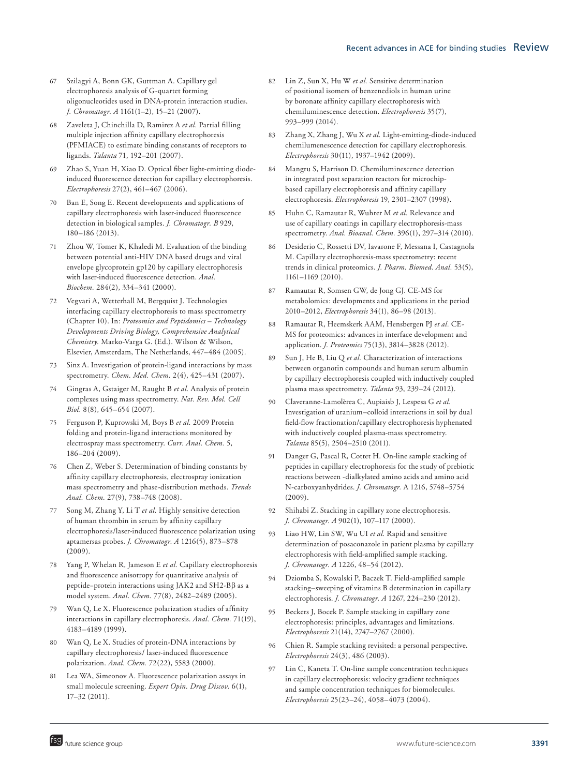- 67 Szilagyi A, Bonn GK, Guttman A. Capillary gel electrophoresis analysis of G-quartet forming oligonucleotides used in DNA-protein interaction studies. *J. Chromatogr. A* 1161(1–2), 15–21 (2007).
- 68 Zaveleta J, Chinchilla D, Ramirez A *et al.* Partial filling multiple injection affinity capillary electrophoresis (PFMIACE) to estimate binding constants of receptors to ligands. *Talanta* 71, 192–201 (2007).
- 69 Zhao S, Yuan H, Xiao D. Optical fiber light-emitting diodeinduced fluorescence detection for capillary electrophoresis. *Electrophoresis* 27(2), 461–467 (2006).
- 70 Ban E, Song E. Recent developments and applications of capillary electrophoresis with laser-induced fluorescence detection in biological samples. *J. Chromatogr. B* 929, 180–186 (2013).
- 71 Zhou W, Tomer K, Khaledi M. Evaluation of the binding between potential anti-HIV DNA based drugs and viral envelope glycoprotein gp120 by capillary electrophoresis with laser-induced fluorescence detection. *Anal. Biochem.* 284(2), 334–341 (2000).
- 72 Vegvari A, Wetterhall M, Bergquist J. Technologies interfacing capillary electrophoresis to mass spectrometry (Chapter 10). In: *Proteomics and Peptidomics – Technology Developments Driving Biology, Comprehensive Analytical Chemistry.* Marko-Varga G. (Ed.). Wilson & Wilson, Elsevier, Amsterdam, The Netherlands, 447–484 (2005).
- 73 Sinz A. Investigation of protein-ligand interactions by mass spectrometry. *Chem. Med. Chem.* 2(4), 425–431 (2007).
- 74 Gingras A, Gstaiger M, Raught B *et al.* Analysis of protein complexes using mass spectrometry. *Nat. Rev. Mol. Cell Biol.* 8(8), 645–654 (2007).
- 75 Ferguson P, Kuprowski M, Boys B *et al.* 2009 Protein folding and protein-ligand interactions monitored by electrospray mass spectrometry. *Curr. Anal. Chem.* 5, 186–204 (2009).
- 76 Chen Z, Weber S. Determination of binding constants by affinity capillary electrophoresis, electrospray ionization mass spectrometry and phase-distribution methods. *Trends Anal. Chem.* 27(9), 738–748 (2008).
- 77 Song M, Zhang Y, Li T *et al.* Highly sensitive detection of human thrombin in serum by affinity capillary electrophoresis/laser-induced fluorescence polarization using aptamersas probes. *J. Chromatogr. A* 1216(5), 873–878 (2009).
- 78 Yang P, Whelan R, Jameson E *et al.* Capillary electrophoresis and fluorescence anisotropy for quantitative analysis of peptide−protein interactions using JAK2 and SH2-Bβ as a model system. *Anal. Chem.* 77(8), 2482–2489 (2005).
- 79 Wan Q, Le X. Fluorescence polarization studies of affinity interactions in capillary electrophoresis. *Anal. Chem.* 71(19), 4183–4189 (1999).
- 80 Wan Q, Le X. Studies of protein-DNA interactions by capillary electrophoresis/ laser-induced fluorescence polarization. *Anal. Chem.* 72(22), 5583 (2000).
- 81 Lea WA, Simeonov A. Fluorescence polarization assays in small molecule screening. *Expert Opin. Drug Discov.* 6(1), 17–32 (2011).
- 82 Lin Z, Sun X, Hu W *et al.* Sensitive determination of positional isomers of benzenediols in human urine by boronate affinity capillary electrophoresis with chemiluminescence detection. *Electrophoresis* 35(7), 993–999 (2014).
- 83 Zhang X, Zhang J, Wu X *et al.* Light-emitting-diode-induced chemilumenescence detection for capillary electrophoresis. *Electrophoresis* 30(11), 1937–1942 (2009).
- 84 Mangru S, Harrison D. Chemiluminescence detection in integrated post separation reactors for microchipbased capillary electrophoresis and affinity capillary electrophoresis. *Electrophoresis* 19, 2301–2307 (1998).
- 85 Huhn C, Ramautar R, Wuhrer M *et al.* Relevance and use of capillary coatings in capillary electrophoresis-mass spectrometry. *Anal. Bioanal. Chem.* 396(1), 297–314 (2010).
- 86 Desiderio C, Rossetti DV, Iavarone F, Messana I, Castagnola M. Capillary electrophoresis-mass spectrometry: recent trends in clinical proteomics. *J. Pharm. Biomed. Anal.* 53(5), 1161–1169 (2010).
- 87 Ramautar R, Somsen GW, de Jong GJ. CE-MS for metabolomics: developments and applications in the period 2010–2012, *Electrophoresis* 34(1), 86–98 (2013).
- 88 Ramautar R, Heemskerk AAM, Hensbergen PJ *et al.* CE-MS for proteomics: advances in interface development and application. *J. Proteomics* 75(13), 3814–3828 (2012).
- 89 Sun J, He B, Liu Q *et al.* Characterization of interactions between organotin compounds and human serum albumin by capillary electrophoresis coupled with inductively coupled plasma mass spectrometry. *Talanta* 93, 239–24 (2012).
- 90 Claveranne-Lamolèrea C, Aupiaisb J, Lespesa G *et al.* Investigation of uranium–colloid interactions in soil by dual field-flow fractionation/capillary electrophoresis hyphenated with inductively coupled plasma-mass spectrometry. *Talanta* 85(5), 2504–2510 (2011).
- 91 Danger G, Pascal R, Cottet H. On-line sample stacking of peptides in capillary electrophoresis for the study of prebiotic reactions between -dialkylated amino acids and amino acid N-carboxyanhydrides. *J. Chromatogr.* A 1216, 5748–5754 (2009).
- 92 Shihabi Z. Stacking in capillary zone electrophoresis. *J. Chromatogr. A* 902(1), 107–117 (2000).
- 93 Liao HW, Lin SW, Wu UI *et al.* Rapid and sensitive determination of posaconazole in patient plasma by capillary electrophoresis with field-amplified sample stacking. *J. Chromatogr. A* 1226, 48–54 (2012).
- 94 Dziomba S, Kowalski P, Baczek T. Field-amplified sample stacking–sweeping of vitamins B determination in capillary electrophoresis. *J. Chromatogr. A* 1267, 224–230 (2012).
- 95 Beckers J, Bocek P. Sample stacking in capillary zone electrophoresis: principles, advantages and limitations. *Electrophoresis* 21(14), 2747–2767 (2000).
- 96 Chien R. Sample stacking revisited: a personal perspective. *Electrophoresis* 24(3), 486 (2003).
- 97 Lin C, Kaneta T. On-line sample concentration techniques in capillary electrophoresis: velocity gradient techniques and sample concentration techniques for biomolecules. *Electrophoresis* 25(23–24), 4058–4073 (2004).